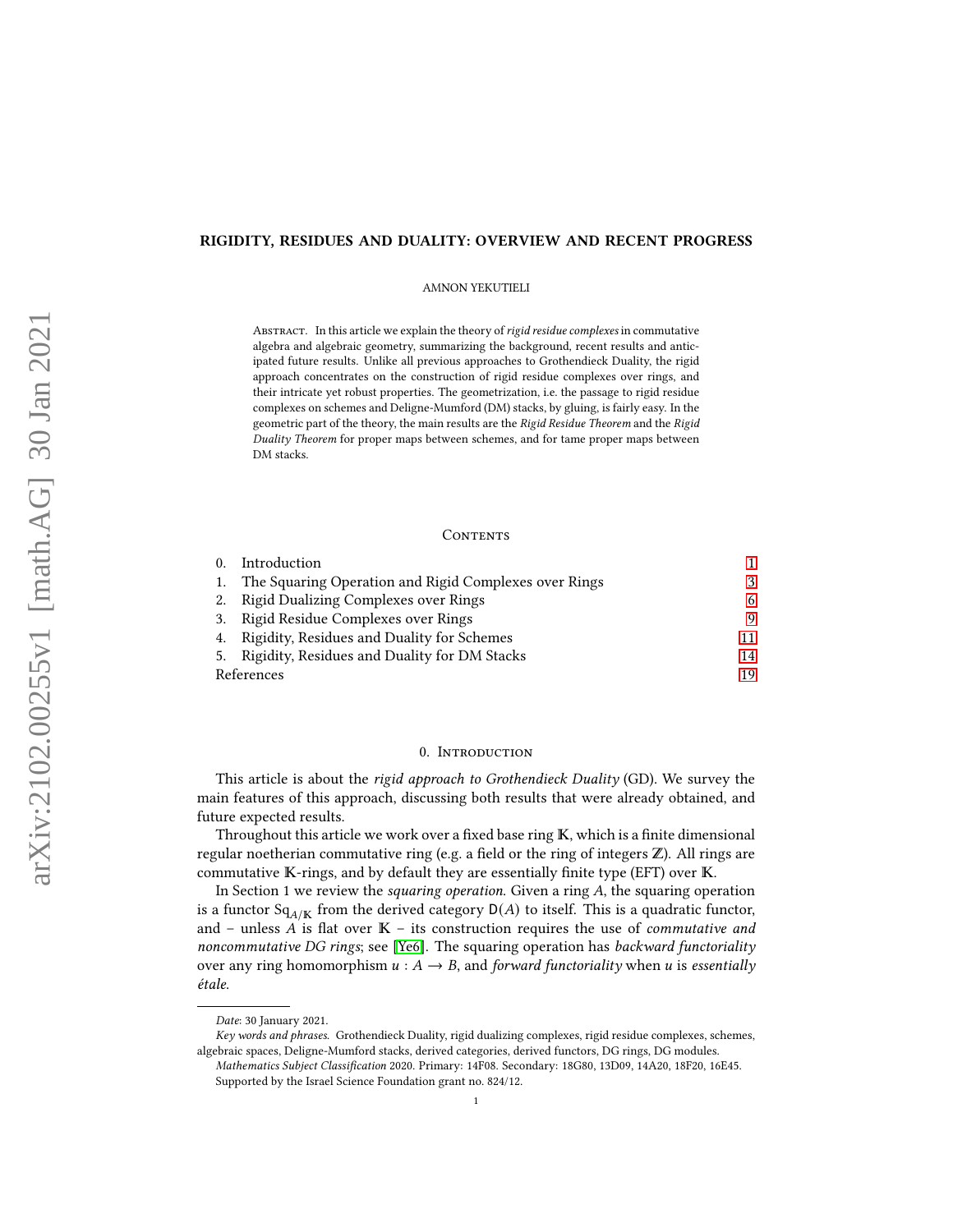# RIGIDITY, RESIDUES AND DUALITY: OVERVIEW AND RECENT PROGRESS

AMNON YEKUTIELI

ABSTRACT. In this article we explain the theory of rigid residue complexes in commutative algebra and algebraic geometry, summarizing the background, recent results and anticipated future results. Unlike all previous approaches to Grothendieck Duality, the rigid approach concentrates on the construction of rigid residue complexes over rings, and their intricate yet robust properties. The geometrization, i.e. the passage to rigid residue complexes on schemes and Deligne-Mumford (DM) stacks, by gluing, is fairly easy. In the geometric part of the theory, the main results are the Rigid Residue Theorem and the Rigid Duality Theorem for proper maps between schemes, and for tame proper maps between DM stacks.

# CONTENTS

| $\Omega$ . | Introduction                                             |    |
|------------|----------------------------------------------------------|----|
|            | 1. The Squaring Operation and Rigid Complexes over Rings |    |
|            | 2. Rigid Dualizing Complexes over Rings                  | 6  |
|            | 3. Rigid Residue Complexes over Rings                    | Q  |
|            | 4. Rigidity, Residues and Duality for Schemes            |    |
|            | 5. Rigidity, Residues and Duality for DM Stacks          | 14 |
| References |                                                          | 19 |

# 0. Introduction

<span id="page-0-0"></span>This article is about the rigid approach to Grothendieck Duality (GD). We survey the main features of this approach, discussing both results that were already obtained, and future expected results.

Throughout this article we work over a fixed base ring  $K$ , which is a finite dimensional regular noetherian commutative ring (e.g. a field or the ring of integers  $\mathbb{Z}$ ). All rings are commutative  $K$ -rings, and by default they are essentially finite type (EFT) over  $K$ .

In Section 1 we review the squaring operation. Given a ring  $A$ , the squaring operation is a functor  $Sq_{A/K}$  from the derived category  $D(A)$  to itself. This is a quadratic functor, and – unless  $A$  is flat over  $K$  – its construction requires the use of *commutative and* noncommutative DG rings; see [\[Ye6\]](#page-19-0). The squaring operation has backward functoriality over any ring homomorphism  $u : A \rightarrow B$ , and forward functoriality when u is essentially étale.

Date: 30 January 2021.

Key words and phrases. Grothendieck Duality, rigid dualizing complexes, rigid residue complexes, schemes, algebraic spaces, Deligne-Mumford stacks, derived categories, derived functors, DG rings, DG modules.

Mathematics Subject Classification 2020. Primary: 14F08. Secondary: 18G80, 13D09, 14A20, 18F20, 16E45. Supported by the Israel Science Foundation grant no. 824/12.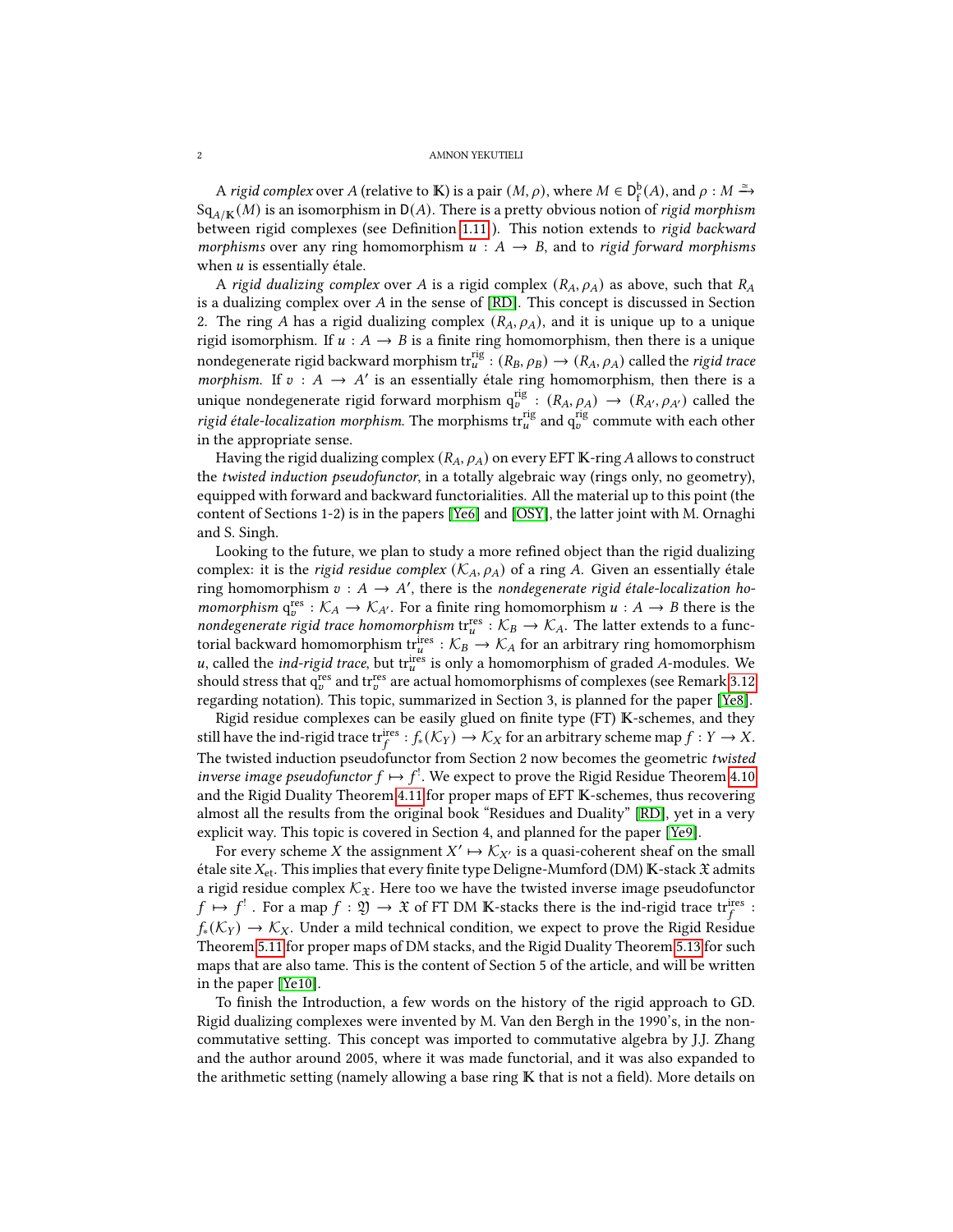#### 2 AMNON YEKUTIELI

A rigid complex over A (relative to K) is a pair  $(M, \rho)$ , where  $M \in D_f^b(A)$ , and  $\rho : M \xrightarrow{\simeq}$  $Sq_{A/K}(M)$  is an isomorphism in  $D(A)$ . There is a pretty obvious notion of rigid morphism between rigid complexes (see Definition [1.11](#page-4-0)). This notion extends to rigid backward morphisms over any ring homomorphism  $u : A \rightarrow B$ , and to rigid forward morphisms when  $u$  is essentially étale.

A rigid dualizing complex over A is a rigid complex  $(R_A, \rho_A)$  as above, such that  $R_A$ is a dualizing complex over  $A$  in the sense of  $[RD]$ . This concept is discussed in Section 2. The ring A has a rigid dualizing complex  $(R_A, \rho_A)$ , and it is unique up to a unique rigid isomorphism. If  $u : A \rightarrow B$  is a finite ring homomorphism, then there is a unique nondegenerate rigid backward morphism  $\mathrm{tr}^{\mathrm{rig}}_u:(R_B,\rho_B)\rightarrow(R_A,\rho_A)$  called the *rigid trace* morphism. If  $v : A \rightarrow A'$  is an essentially étale ring homomorphism, then there is a unique nondegenerate rigid forward morphism  $q_v^{rig}$  :  $(R_A, \rho_A) \rightarrow (R_{A'}, \rho_{A'})$  called the rigid étale-localization morphism. The morphisms  $\text{tr}_{u}^{\text{rig}}$  and  $\text{q}_{v}^{\text{rig}}$  commute with each other in the appropriate sense.

Having the rigid dualizing complex  $(R_A, \rho_A)$  on every EFT K-ring A allows to construct the twisted induction pseudofunctor, in a totally algebraic way (rings only, no geometry), equipped with forward and backward functorialities. All the material up to this point (the content of Sections 1-2) is in the papers [\[Ye6\]](#page-19-0) and [\[OSY\]](#page-19-2), the latter joint with M. Ornaghi and S. Singh.

Looking to the future, we plan to study a more refined object than the rigid dualizing complex: it is the *rigid residue complex* ( $\mathcal{K}_A$ ,  $\rho_A$ ) of a ring A. Given an essentially étale ring homomorphism  $v : A \rightarrow A'$ , there is the nondegenerate rigid étale-localization ho*momorphism*  $q_v^{\text{res}} : \mathcal{K}_A \to \mathcal{K}_{A'}$ . For a finite ring homomorphism  $u : A \to B$  there is the nondegenerate rigid trace homomorphism  $\text{tr}_{u}^{\text{res}} : \mathcal{K}_{B} \to \mathcal{K}_{A}$ . The latter extends to a functorial backward homomorphism tri<sup>res</sup> :  $\mathcal{K}_B \to \mathcal{K}_A$  for an arbitrary ring homomorphism u, called the *ind-rigid trace*, but traces is only a homomorphism of graded A-modules. We should stress that  $q_v^{res}$  and  $tr_v^{res}$  are actual homomorphisms of complexes (see Remark [3.12](#page-10-1) regarding notation). This topic, summarized in Section 3, is planned for the paper [\[Ye8\]](#page-19-3).

Rigid residue complexes can be easily glued on finite type (FT) K-schemes, and they still have the ind-rigid trace triffer  $:f_*(\mathcal{K}_Y) \to \mathcal{K}_X$  for an arbitrary scheme map  $f: Y \to X$ . The twisted induction pseudofunctor from Section 2 now becomes the geometric twisted inverse image pseudofunctor  $f \mapsto f^!$ . We expect to prove the Rigid Residue Theorem [4.10](#page-12-0) and the Rigid Duality Theorem [4.11](#page-12-1) for proper maps of EFT  $\mathbb K$ -schemes, thus recovering almost all the results from the original book "Residues and Duality" [\[RD\]](#page-19-1), yet in a very explicit way. This topic is covered in Section 4, and planned for the paper [\[Ye9\]](#page-19-4).

For every scheme X the assignment  $X' \mapsto \mathcal{K}_{X'}$  is a quasi-coherent sheaf on the small étale site  $X_{et}$ . This implies that every finite type Deligne-Mumford (DM) K-stack  $\mathfrak X$  admits a rigid residue complex  $\mathcal{K}_{\mathfrak{X}}$ . Here too we have the twisted inverse image pseudofunctor  $f \mapsto f^!$  . For a map  $f : \mathfrak{Y} \to \mathfrak{X}$  of FT DM K-stacks there is the ind-rigid trace  $\mathfrak{tr}_f^{\text{ires}}$  :  $f_*(\mathcal{K}_Y) \to \mathcal{K}_X$ . Under a mild technical condition, we expect to prove the Rigid Residue Theorem [5.11](#page-16-0) for proper maps of DM stacks, and the Rigid Duality Theorem [5.13](#page-17-0) for such maps that are also tame. This is the content of Section 5 of the article, and will be written in the paper [\[Ye10\]](#page-19-5).

To finish the Introduction, a few words on the history of the rigid approach to GD. Rigid dualizing complexes were invented by M. Van den Bergh in the 1990's, in the noncommutative setting. This concept was imported to commutative algebra by J.J. Zhang and the author around 2005, where it was made functorial, and it was also expanded to the arithmetic setting (namely allowing a base ring  $K$  that is not a field). More details on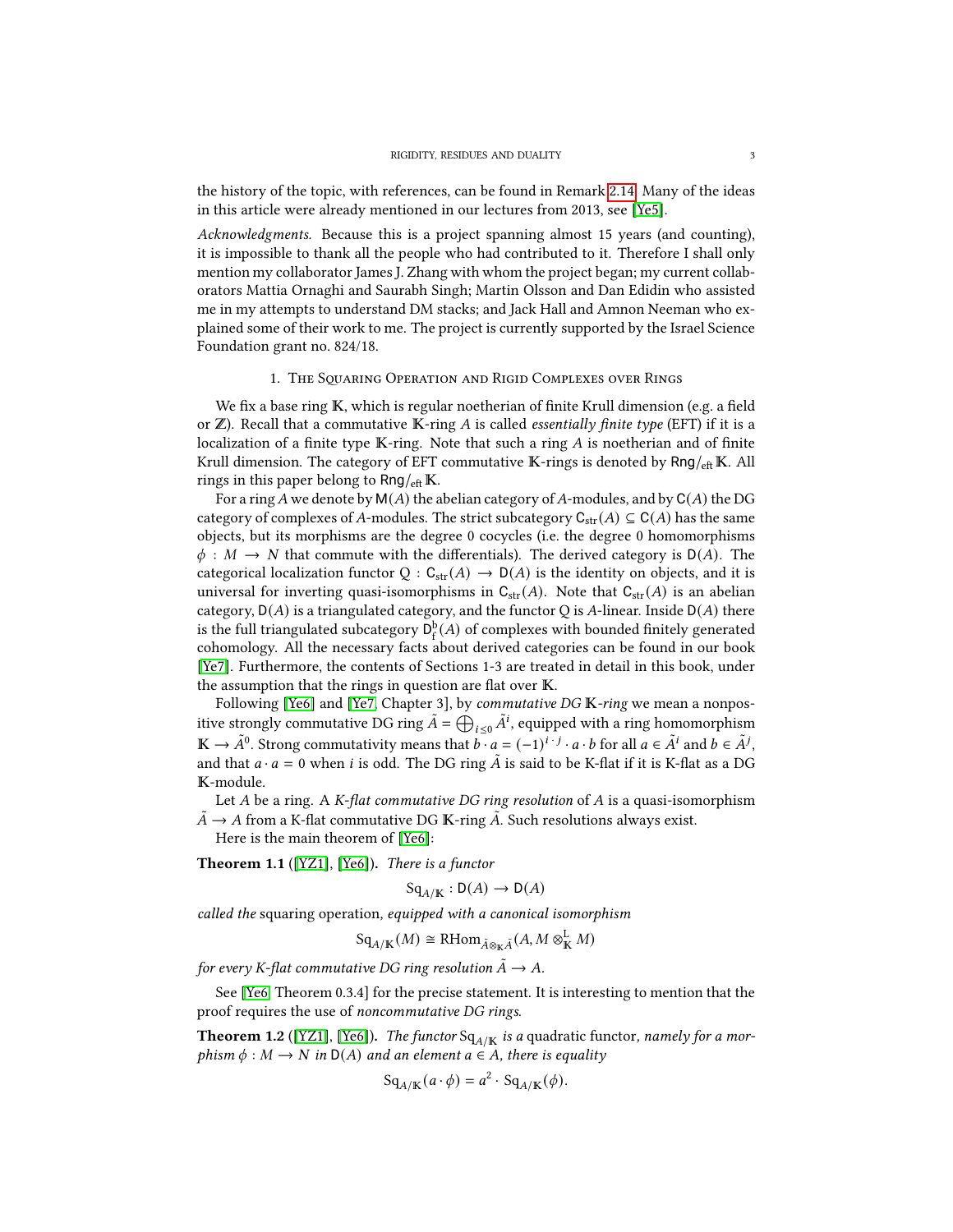the history of the topic, with references, can be found in Remark [2.14.](#page-7-0) Many of the ideas in this article were already mentioned in our lectures from 2013, see [\[Ye5\]](#page-19-6).

Acknowledgments. Because this is a project spanning almost 15 years (and counting), it is impossible to thank all the people who had contributed to it. Therefore I shall only mention my collaborator James J. Zhang with whom the project began; my current collaborators Mattia Ornaghi and Saurabh Singh; Martin Olsson and Dan Edidin who assisted me in my attempts to understand DM stacks; and Jack Hall and Amnon Neeman who explained some of their work to me. The project is currently supported by the Israel Science Foundation grant no. 824/18.

## 1. The SQUARING OPERATION AND RIGID COMPLEXES OVER RINGS

<span id="page-2-0"></span>We fix a base ring  $K$ , which is regular noetherian of finite Krull dimension (e.g. a field or  $\mathbb{Z}$ ). Recall that a commutative K-ring A is called *essentially finite type* (EFT) if it is a localization of a finite type  $K$ -ring. Note that such a ring  $A$  is noetherian and of finite Krull dimension. The category of EFT commutative  $K$ -rings is denoted by  $Rng/_{\text{eff}} K$ . All rings in this paper belong to  $Rng/_{\text{eff}} K$ .

For a ring A we denote by  $M(A)$  the abelian category of A-modules, and by  $C(A)$  the DG category of complexes of A-modules. The strict subcategory  $C_{str}(A) \subseteq C(A)$  has the same objects, but its morphisms are the degree 0 cocycles (i.e. the degree 0 homomorphisms  $\phi : M \to N$  that commute with the differentials). The derived category is D(A). The categorical localization functor  $Q : C_{str}(A) \rightarrow D(A)$  is the identity on objects, and it is universal for inverting quasi-isomorphisms in  $C_{str}(A)$ . Note that  $C_{str}(A)$  is an abelian category,  $D(A)$  is a triangulated category, and the functor Q is A-linear. Inside  $D(A)$  there is the full triangulated subcategory  $D_f^b(A)$  of complexes with bounded finitely generated cohomology. All the necessary facts about derived categories can be found in our book [\[Ye7\]](#page-19-7). Furthermore, the contents of Sections 1-3 are treated in detail in this book, under the assumption that the rings in question are flat over  $K$ .

Following [\[Ye6\]](#page-19-0) and [\[Ye7,](#page-19-7) Chapter 3], by commutative DG K-ring we mean a nonpositive strongly commutative DG ring  $\tilde{A} = \bigoplus_{i \leq 0} \tilde{A}^i$ , equipped with a ring homomorphism  $\mathbb{K} \to \tilde{A}^0$ . Strong commutativity means that  $b \cdot a = (-1)^{i \cdot j} \cdot a \cdot b$  for all  $a \in \tilde{A}^i$  and  $b \in \tilde{A}^j$ , and that  $a \cdot a = 0$  when i is odd. The DG ring  $\tilde{A}$  is said to be K-flat if it is K-flat as a DG K-module.

Let A be a ring. A K-flat commutative DG ring resolution of A is a quasi-isomorphism  $\tilde{A}$  →  $A$  from a K-flat commutative DG  $\mathbb K\text{-ring }\tilde{A}$ . Such resolutions always exist.

Here is the main theorem of [\[Ye6\]](#page-19-0):

<span id="page-2-2"></span>**Theorem 1.1** ([\[YZ1\]](#page-19-8), [\[Ye6\]](#page-19-0)). There is a functor

$$
Sq_{A/K} : D(A) \to D(A)
$$

called the squaring operation, equipped with a canonical isomorphism

$$
\mathrm{Sq}_{A/\mathbb{K}}(M) \cong \mathrm{RHom}_{\tilde{A}\otimes_{\mathbb{K}}\tilde{A}}(A, M \otimes_{\mathbb{K}}^{\mathbb{L}} M)
$$

for every K-flat commutative DG ring resolution  $\ddot{A} \rightarrow A$ .

See [\[Ye6,](#page-19-0) Theorem 0.3.4] for the precise statement. It is interesting to mention that the proof requires the use of noncommutative DG rings.

<span id="page-2-1"></span>**Theorem 1.2** ([\[YZ1\]](#page-19-8), [\[Ye6\]](#page-19-0)). The functor  $Sq_{A/K}$  is a quadratic functor, namely for a morphism  $\phi : M \to N$  in  $D(A)$  and an element  $a \in A$ , there is equality

$$
Sq_{A/K}(a \cdot \phi) = a^2 \cdot Sq_{A/K}(\phi).
$$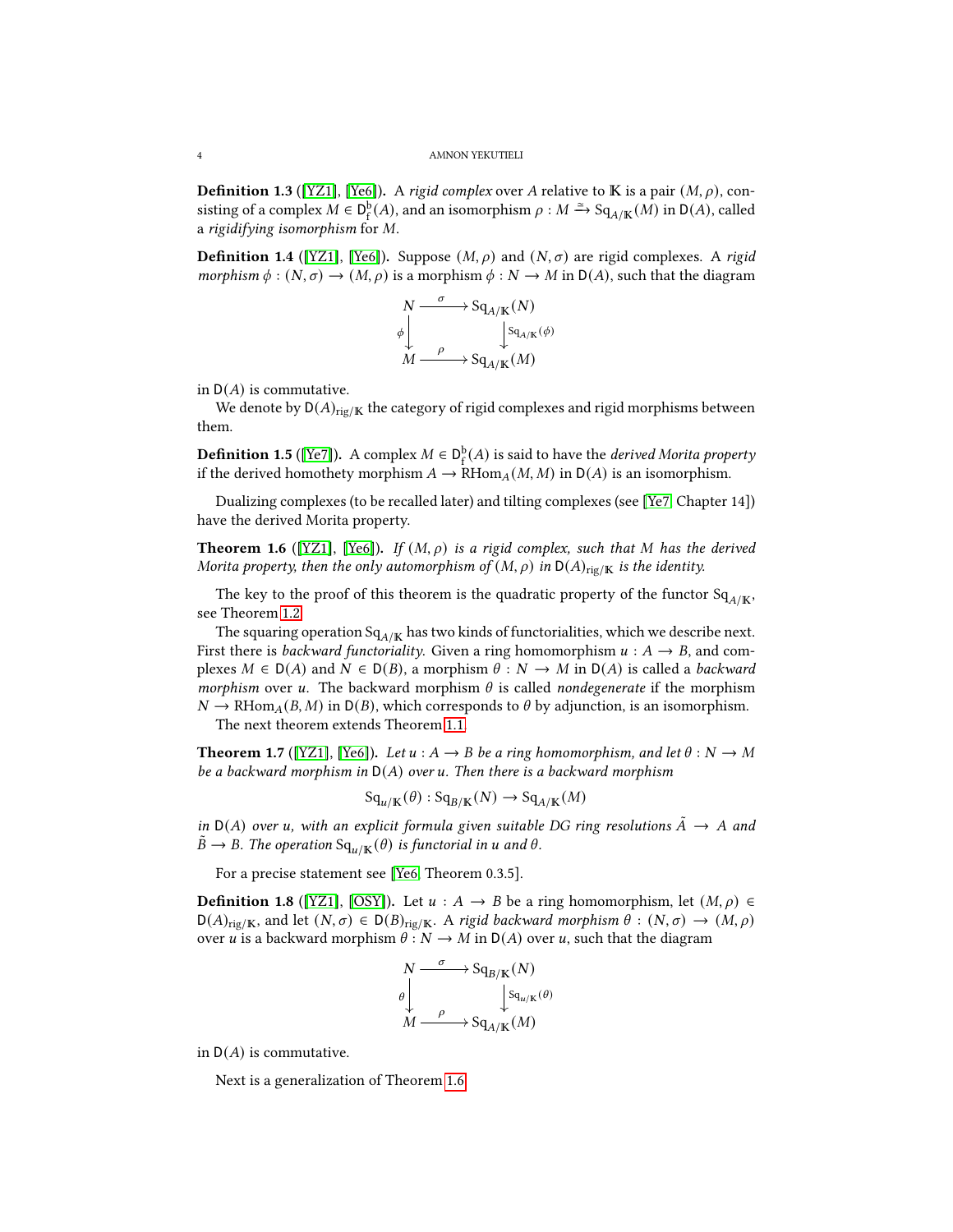<span id="page-3-3"></span>**Definition 1.3** ([\[YZ1\]](#page-19-8), [\[Ye6\]](#page-19-0)). A rigid complex over A relative to **K** is a pair  $(M, \rho)$ , consisting of a complex  $M \in D_f^b(A)$ , and an isomorphism  $\rho : M \xrightarrow{\simeq} \text{Sq}_{A/\mathbb{K}}(M)$  in  $D(A)$ , called a rigidifying isomorphism for  $M$ .

<span id="page-3-4"></span>**Definition 1.4** ([\[YZ1\]](#page-19-8), [\[Ye6\]](#page-19-0)). Suppose  $(M, \rho)$  and  $(N, \sigma)$  are rigid complexes. A rigid morphism  $\phi : (N, \sigma) \to (M, \rho)$  is a morphism  $\phi : N \to M$  in  $D(A)$ , such that the diagram



in  $D(A)$  is commutative.

We denote by  $D(A)_{\text{rig/K}}$  the category of rigid complexes and rigid morphisms between them.

<span id="page-3-2"></span>**Definition 1.5** ([\[Ye7\]](#page-19-7)). A complex  $M \in D_f^b(A)$  is said to have the *derived Morita property* if the derived homothety morphism  $A \to \text{RHom}_A(M, M)$  in  $D(A)$  is an isomorphism.

Dualizing complexes (to be recalled later) and tilting complexes (see [\[Ye7,](#page-19-7) Chapter 14]) have the derived Morita property.

<span id="page-3-0"></span>**Theorem 1.6** ([\[YZ1\]](#page-19-8), [\[Ye6\]](#page-19-0)). If  $(M, \rho)$  is a rigid complex, such that M has the derived Morita property, then the only automorphism of  $(M, \rho)$  in  $D(A)_{\text{rig/K}}$  is the identity.

The key to the proof of this theorem is the quadratic property of the functor  $Sq_{A/K}$ , see Theorem [1.2.](#page-2-1)

The squaring operation  $Sq_{A/K}$  has two kinds of functorialities, which we describe next. First there is *backward functoriality*. Given a ring homomorphism  $u : A \rightarrow B$ , and complexes  $M \in D(A)$  and  $N \in D(B)$ , a morphism  $\theta : N \to M$  in  $D(A)$  is called a backward morphism over u. The backward morphism  $\theta$  is called nondegenerate if the morphism  $N \to \text{RHom}_{A}(B, M)$  in D(B), which corresponds to  $\theta$  by adjunction, is an isomorphism.

The next theorem extends Theorem [1.1.](#page-2-2)

**Theorem 1.7** ([\[YZ1\]](#page-19-8), [\[Ye6\]](#page-19-0)). Let  $u : A \rightarrow B$  be a ring homomorphism, and let  $\theta : N \rightarrow M$ be a backward morphism in  $D(A)$  over u. Then there is a backward morphism

$$
Sq_{u/\mathbb{K}}(\theta) : Sq_{B/\mathbb{K}}(N) \to Sq_{A/\mathbb{K}}(M)
$$

in D(A) over u, with an explicit formula given suitable DG ring resolutions  $\tilde{A} \to A$  and  $B \to B$ . The operation  $\text{Sq}_{u/\mathbb{K}}(\theta)$  is functorial in  $u$  and  $\theta$ .

For a precise statement see [\[Ye6,](#page-19-0) Theorem 0.3.5].

<span id="page-3-1"></span>**Definition 1.8** ([\[YZ1\]](#page-19-8), [\[OSY\]](#page-19-2)). Let  $u : A \rightarrow B$  be a ring homomorphism, let  $(M, \rho) \in$  $D(A)_{\text{rig}/\mathbb{K}}$ , and let  $(N, \sigma) \in D(B)_{\text{rig}/\mathbb{K}}$ . A rigid backward morphism  $\theta : (N, \sigma) \to (M, \rho)$ over *u* is a backward morphism  $\theta : N \to M$  in  $D(A)$  over *u*, such that the diagram

$$
N \xrightarrow{\sigma} \operatorname{Sq}_{B/\mathbb{K}}(N)
$$
  
\n
$$
\theta \downarrow \qquad \qquad \downarrow \operatorname{Sq}_{u/\mathbb{K}}(\theta)
$$
  
\n
$$
M \xrightarrow{\rho} \operatorname{Sq}_{A/\mathbb{K}}(M)
$$

in  $D(A)$  is commutative.

Next is a generalization of Theorem [1.6.](#page-3-0)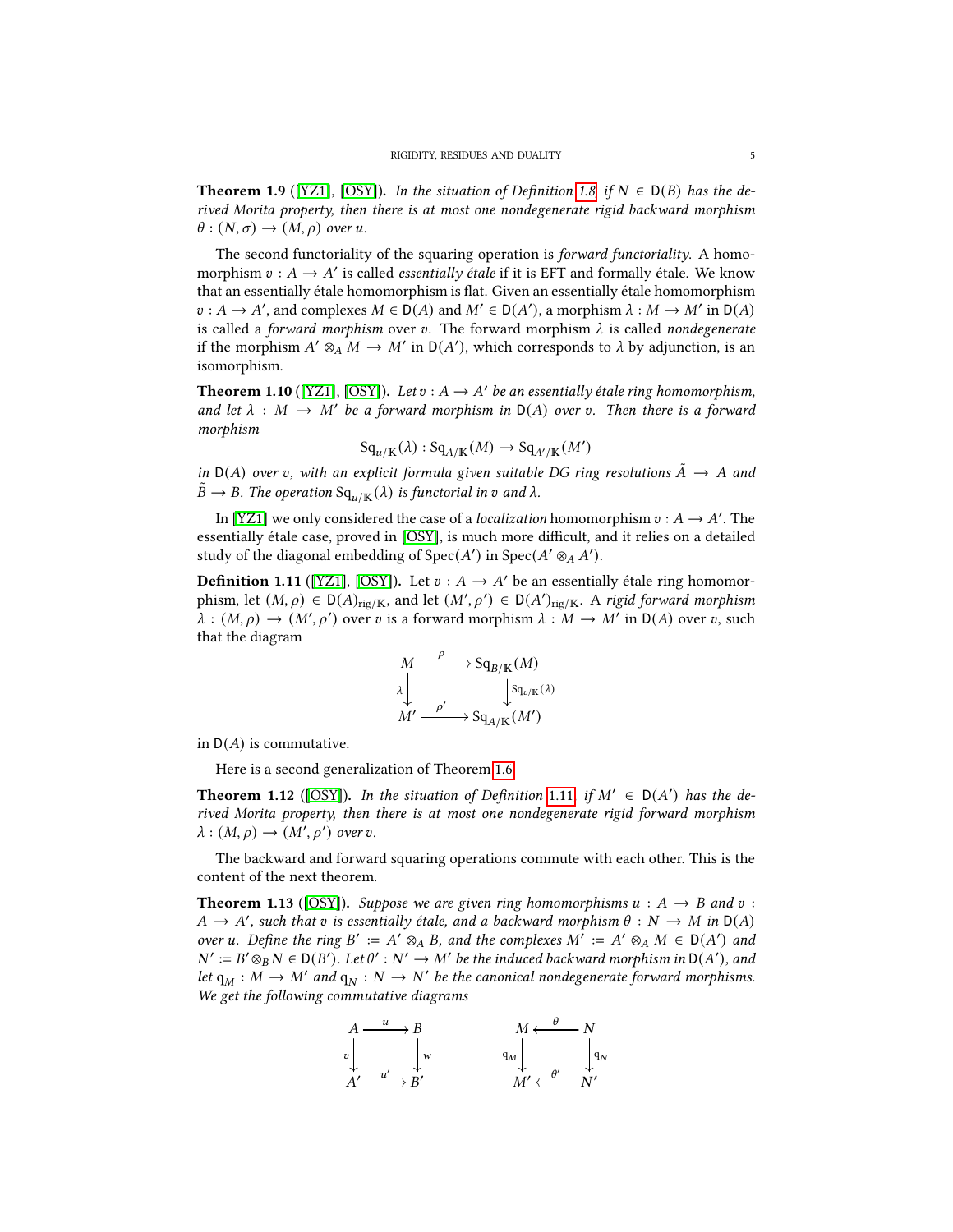**Theorem 1.9** ([\[YZ1\]](#page-19-8), [\[OSY\]](#page-19-2)). In the situation of Definition [1.8,](#page-3-1) if  $N \in D(B)$  has the derived Morita property, then there is at most one nondegenerate rigid backward morphism  $\theta : (N, \sigma) \rightarrow (M, \rho)$  over u.

The second functoriality of the squaring operation is *forward functoriality*. A homomorphism  $v : A \to A'$  is called *essentially étale* if it is EFT and formally étale. We know that an essentially étale homomorphism is at. Given an essentially étale homomorphism  $v : A \to A'$ , and complexes  $M \in D(A)$  and  $M' \in D(A')$ , a morphism  $\lambda : M \to M'$  in  $D(A)$ is called a forward morphism over v. The forward morphism  $\lambda$  is called nondegenerate if the morphism  $A' \otimes_A M \to M'$  in  $D(A')$ , which corresponds to  $\lambda$  by adjunction, is an isomorphism.

**Theorem 1.10** ([\[YZ1\]](#page-19-8), [\[OSY\]](#page-19-2)). Let  $v : A \rightarrow A'$  be an essentially étale ring homomorphism, and let  $\lambda : M \to M'$  be a forward morphism in  $D(A)$  over v. Then there is a forward morphism

$$
Sq_{\mathfrak{u}/\mathbb{K}}(\lambda) : Sq_{A/\mathbb{K}}(M) \to Sq_{A'/\mathbb{K}}(M')
$$

in  $D(A)$  over v, with an explicit formula given suitable DG ring resolutions  $\tilde{A} \to A$  and  $B \to B$ . The operation  $Sq_{\mu/\mathbb{K}}(\lambda)$  is functorial in v and  $\lambda$ .

In [\[YZ1\]](#page-19-8) we only considered the case of a *localization* homomorphism  $v : A \rightarrow A'$ . The essentially étale case, proved in [\[OSY\]](#page-19-2), is much more difficult, and it relies on a detailed study of the diagonal embedding of  $Spec(A')$  in  $Spec(A' \otimes_A A')$ .

<span id="page-4-0"></span>**Definition 1.11** ([\[YZ1\]](#page-19-8), [\[OSY\]](#page-19-2)). Let  $v : A \rightarrow A'$  be an essentially étale ring homomorphism, let  $(M, \rho) \in D(A)_{\text{rig}/K}$ , and let  $(M', \rho') \in D(A')_{\text{rig}/K}$ . A rigid forward morphism  $\lambda : (M, \rho) \to (M', \rho')$  over v is a forward morphism  $\lambda : M \to M'$  in  $D(A)$  over v, such that the diagram

$$
M \xrightarrow{\rho} \text{Sq}_{B/\mathbb{K}}(M)
$$
  
\n
$$
\lambda \downarrow \text{Sq}_{\text{D/K}}(\lambda)
$$
  
\n
$$
M' \xrightarrow{\rho'} \text{Sq}_{A/\mathbb{K}}(M')
$$

in  $D(A)$  is commutative.

Here is a second generalization of Theorem [1.6.](#page-3-0)

**Theorem 1.12** ([\[OSY\]](#page-19-2)). In the situation of Definition [1.11](#page-4-0), if  $M' \in D(A')$  has the derived Morita property, then there is at most one nondegenerate rigid forward morphism  $\lambda : (M, \rho) \rightarrow (M', \rho')$  over v.

The backward and forward squaring operations commute with each other. This is the content of the next theorem.

**Theorem 1.13** ([\[OSY\]](#page-19-2)). Suppose we are given ring homomorphisms  $u : A \rightarrow B$  and  $v :$  $A \to A'$ , such that v is essentially étale, and a backward morphism  $\theta : N \to M$  in  $D(A)$ over u. Define the ring B' := A'  $\otimes_A B$ , and the complexes  $M' := A' \otimes_A M \in D(A')$  and  $N' := B' \otimes_B N \in D(B')$ . Let  $\theta' : N' \to M'$  be the induced backward morphism in  $D(A')$ , and let  $q_M : M \to M'$  and  $q_N : N \to N'$  be the canonical nondegenerate forward morphisms. We get the following commutative diagrams

$$
A \xrightarrow{u} B
$$
\n
$$
v \downarrow w
$$
\n
$$
A' \xrightarrow{u'} B'
$$
\n
$$
M \xleftarrow{\theta} N
$$
\n
$$
q_M \downarrow \qquad \qquad q_W
$$
\n
$$
M' \xleftarrow{\theta'} N'
$$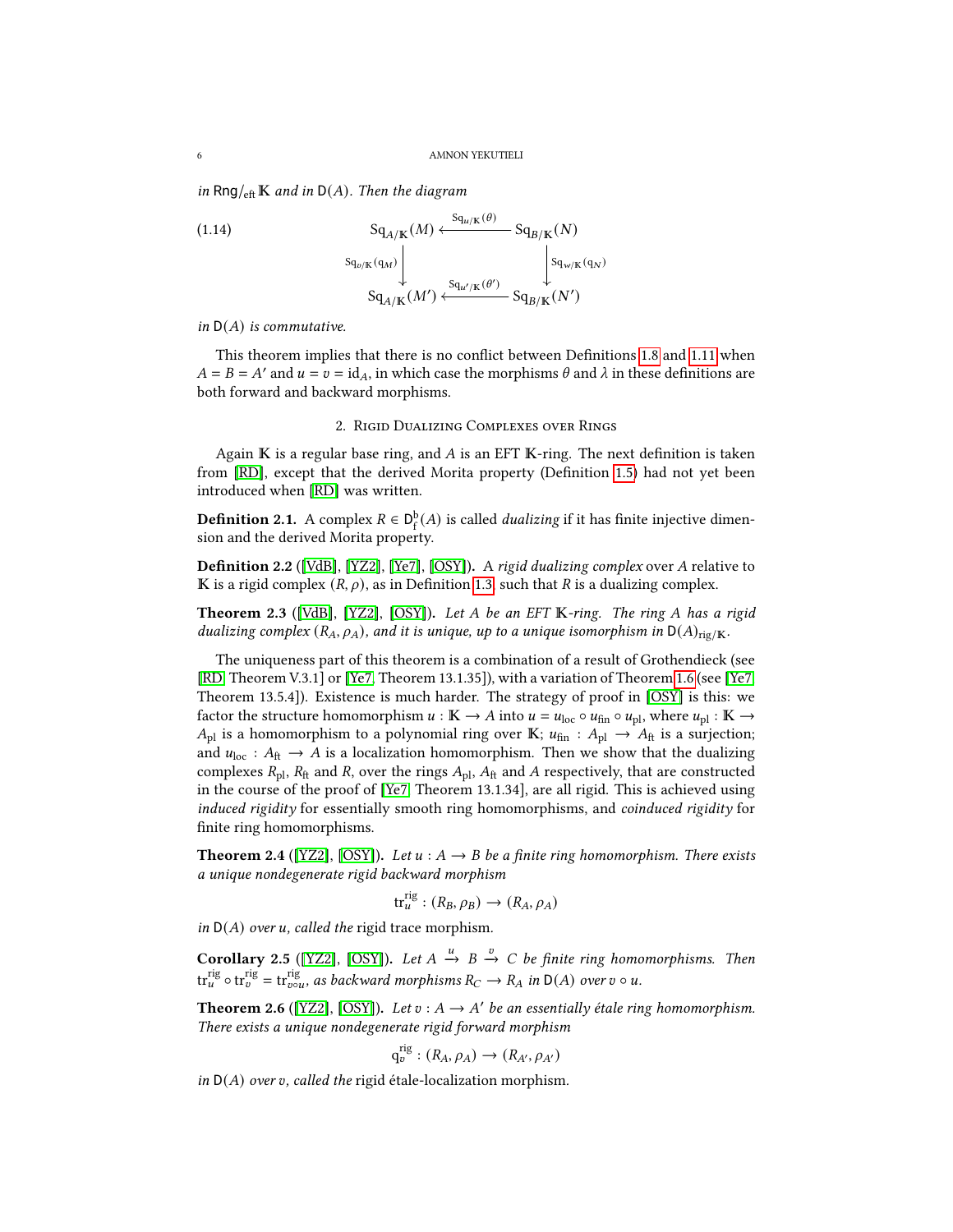in Rng/ $_{\text{eff}}$  K and in D(A). Then the diagram

(1.14) 
$$
S_{q_{A/K}}(M) \xleftarrow{S_{q_{u/K}}(\theta)} S_{q_{B/K}}(N)
$$

$$
S_{q_{v/K}(q_M)} \downarrow \qquad \qquad S_{q_{u'/K}}(M') \xleftarrow{S_{q_{u'/K}}(\theta')} S_{q_{B/K}}(N')
$$

in  $D(A)$  is commutative.

This theorem implies that there is no conflict between Definitions [1.8](#page-3-1) and [1.11](#page-4-0) when  $A = B = A'$  and  $u = v = id_A$ , in which case the morphisms  $\theta$  and  $\lambda$  in these definitions are both forward and backward morphisms.

#### 2. Rigid Dualizing Complexes over Rings

<span id="page-5-0"></span>Again  $\mathbb K$  is a regular base ring, and A is an EFT  $\mathbb K$ -ring. The next definition is taken from [\[RD\]](#page-19-1), except that the derived Morita property (Definition [1.5\)](#page-3-2) had not yet been introduced when [\[RD\]](#page-19-1) was written.

**Definition 2.1.** A complex  $R \in D_f^b(A)$  is called *dualizing* if it has finite injective dimension and the derived Morita property.

**Definition 2.2** ([\[VdB\]](#page-19-9), [\[YZ2\]](#page-19-10), [\[Ye7\]](#page-19-7), [\[OSY\]](#page-19-2)). A rigid dualizing complex over A relative to K is a rigid complex  $(R, \rho)$ , as in Definition [1.3,](#page-3-3) such that R is a dualizing complex.

<span id="page-5-1"></span>**Theorem 2.3** ([\[VdB\]](#page-19-9), [\[YZ2\]](#page-19-10), [\[OSY\]](#page-19-2)). Let  $A$  be an EFT  $K$ -ring. The ring  $A$  has a rigid dualizing complex  $(R_A, \rho_A)$ , and it is unique, up to a unique isomorphism in  $D(A)_{\text{rig/K}}$ .

The uniqueness part of this theorem is a combination of a result of Grothendieck (see [\[RD,](#page-19-1) Theorem V.3.1] or [\[Ye7,](#page-19-7) Theorem 13.1.35]), with a variation of Theorem [1.6](#page-3-0) (see [\[Ye7,](#page-19-7) Theorem 13.5.4]). Existence is much harder. The strategy of proof in [\[OSY\]](#page-19-2) is this: we factor the structure homomorphism  $u : K \to A$  into  $u = u_{loc} \circ u_{fin} \circ u_{pl}$ , where  $u_{pl} : K \to A$  $A_{\text{pl}}$  is a homomorphism to a polynomial ring over K;  $u_{\text{fin}} : A_{\text{pl}} \to A_{\text{ft}}$  is a surjection; and  $u_{\text{loc}} : A_{\text{ft}} \to A$  is a localization homomorphism. Then we show that the dualizing complexes  $R_{\text{pl}}$ ,  $R_{\text{ft}}$  and R, over the rings  $A_{\text{pl}}$ ,  $A_{\text{ft}}$  and A respectively, that are constructed in the course of the proof of [\[Ye7,](#page-19-7) Theorem 13.1.34], are all rigid. This is achieved using induced rigidity for essentially smooth ring homomorphisms, and coinduced rigidity for finite ring homomorphisms.

<span id="page-5-3"></span>**Theorem 2.4** ([\[YZ2\]](#page-19-10), [\[OSY\]](#page-19-2)). Let  $u : A \rightarrow B$  be a finite ring homomorphism. There exists a unique nondegenerate rigid backward morphism

$$
\operatorname{tr}^{\operatorname{rig}}_{u} : (R_B, \rho_B) \to (R_A, \rho_A)
$$

in  $D(A)$  over u, called the rigid trace morphism.

**Corollary 2.5** ([\[YZ2\]](#page-19-10), [\[OSY\]](#page-19-2)). Let  $A \xrightarrow{u} B \xrightarrow{v} C$  be finite ring homomorphisms. Then  $\text{tr}^{\text{rig}}_{u}\circ \text{tr}^{\text{rig}}_{v}=\text{tr}^{\text{rig}}_{v\circ u}$ , as backward morphisms  $R_C\to R_A$  in  $\textsf{D}(A)$  over  $v\circ u$ .

<span id="page-5-2"></span>**Theorem 2.6** ([\[YZ2\]](#page-19-10), [\[OSY\]](#page-19-2)). Let  $v : A \rightarrow A'$  be an essentially étale ring homomorphism. There exists a unique nondegenerate rigid forward morphism

$$
\mathrm{q}_v^{\mathrm{rig}} : (R_A, \rho_A) \to (R_{A'}, \rho_{A'})
$$

in  $D(A)$  over v, called the rigid étale-localization morphism.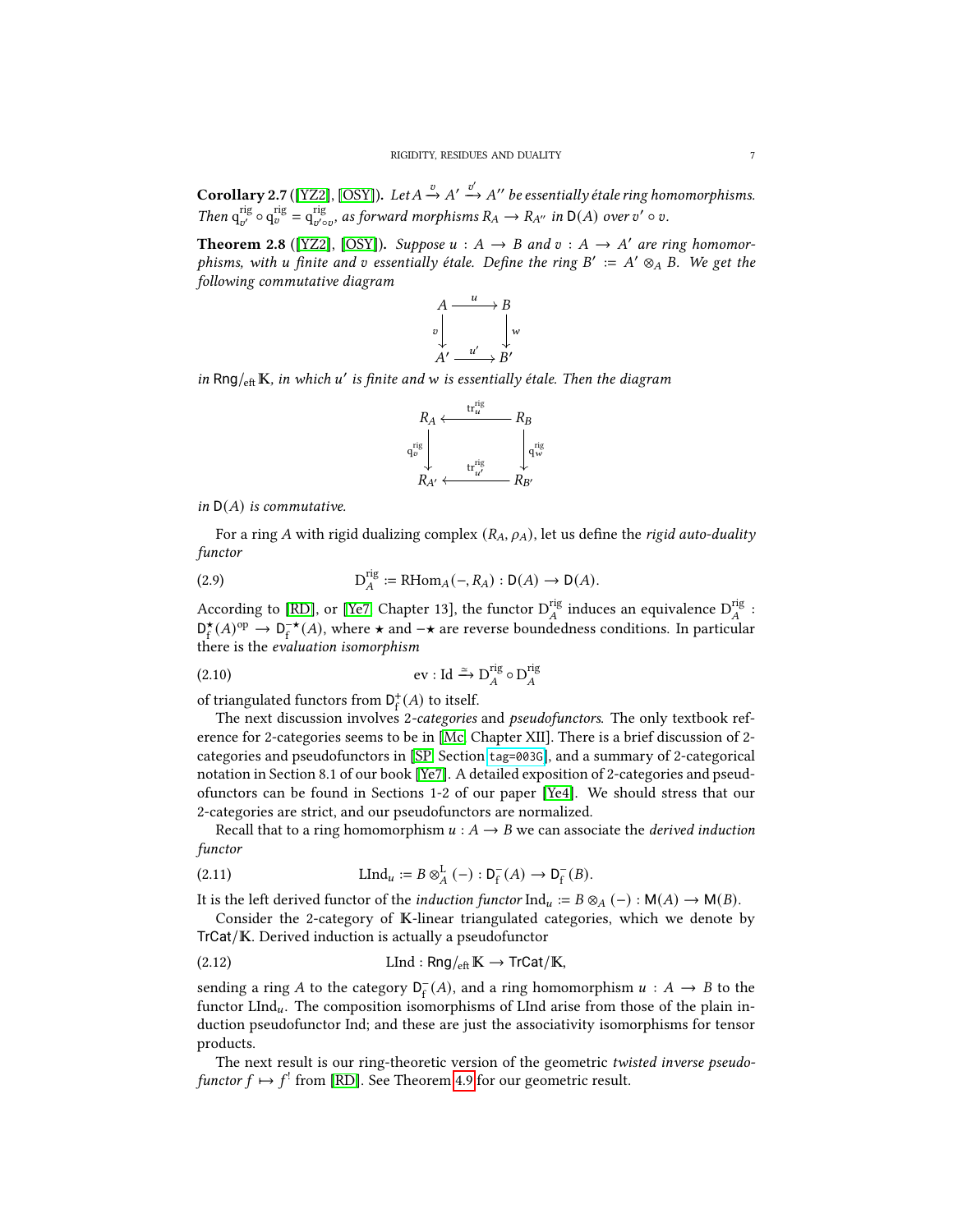**Corollary 2.7** ([\[YZ2\]](#page-19-10), [\[OSY\]](#page-19-2)). Let  $A \xrightarrow{v} A' \xrightarrow{v'} A''$  be essentially étale ring homomorphisms. Then  $q_{v'}^{rig} \circ q_v^{rig} = q_{v' \circ v}^{rig}$ , as forward morphisms  $R_A \to R_{A''}$  in  $D(A)$  over  $v' \circ v$ .

<span id="page-6-1"></span>**Theorem 2.8** ([\[YZ2\]](#page-19-10), [\[OSY\]](#page-19-2)). Suppose  $u : A \rightarrow B$  and  $v : A \rightarrow A'$  are ring homomorphisms, with u finite and v essentially étale. Define the ring  $B' := A' \otimes_A B$ . We get the following commutative diagram



in Rng/ $_{\text{eff}}$  K, in which u' is finite and w is essentially étale. Then the diagram



in  $D(A)$  is commutative.

For a ring A with rigid dualizing complex  $(R_A, \rho_A)$ , let us define the rigid auto-duality functor

<span id="page-6-2"></span>(2.9) 
$$
D_A^{rig} := \text{RHom}_A(-, R_A) : D(A) \to D(A).
$$

According to [\[RD\]](#page-19-1), or [\[Ye7,](#page-19-7) Chapter 13], the functor  ${\rm D}^{\rm rig}_A$  induces an equivalence  ${\rm D}^{\rm rig}_A$  :  $\mathsf{D}^\star_\epsilon$  $f(A)$ <sup>op</sup> → D<sub>r</sub><sup>\*</sup>(*A*), where ★ and → are reverse boundedness conditions. In particular there is the evaluation isomorphism

<span id="page-6-0"></span>(2.10) 
$$
\text{ev}: \text{Id} \xrightarrow{\simeq} \text{D}_A^{\text{rig}} \circ \text{D}_A^{\text{rig}}
$$

of triangulated functors from  $\mathsf{D}^+_{\mathrm{f}}(A)$  to itself.

The next discussion involves 2-categories and pseudofunctors. The only textbook reference for 2-categories seems to be in [\[Mc,](#page-18-1) Chapter XII]. There is a brief discussion of 2 categories and pseudofunctors in [\[SP,](#page-19-11) Section [tag=003G](https://stacks.math.columbia.edu/tag/003G)], and a summary of 2-categorical notation in Section 8.1 of our book [\[Ye7\]](#page-19-7). A detailed exposition of 2-categories and pseudofunctors can be found in Sections 1-2 of our paper [\[Ye4\]](#page-19-12). We should stress that our 2-categories are strict, and our pseudofunctors are normalized.

Recall that to a ring homomorphism  $u : A \rightarrow B$  we can associate the *derived induction* functor

(2.11) 
$$
\qquad \qquad \text{LInd}_{u} := B \otimes_A^{\mathbf{L}} (-) : \mathsf{D}_{\mathsf{f}}^-(A) \to \mathsf{D}_{\mathsf{f}}^-(B).
$$

It is the left derived functor of the *induction functor*  $\text{Ind}_u := B \otimes_A (-) : \mathsf{M}(A) \to \mathsf{M}(B)$ .

Consider the 2-category of  $K$ -linear triangulated categories, which we denote by TrCat/K. Derived induction is actually a pseudofunctor

$$
\text{(2.12)} \quad \text{LInd}: \text{Rng/}_{\text{eft}} K \to \text{TrCat}/K,
$$

sending a ring A to the category  $D_f^-(A)$ , and a ring homomorphism  $u : A \to B$  to the functor LInd<sub>u</sub>. The composition isomorphisms of LInd arise from those of the plain induction pseudofunctor Ind; and these are just the associativity isomorphisms for tensor products.

The next result is our ring-theoretic version of the geometric twisted inverse pseudofunctor  $f \mapsto f^!$  from [\[RD\]](#page-19-1). See Theorem [4.9](#page-12-2) for our geometric result.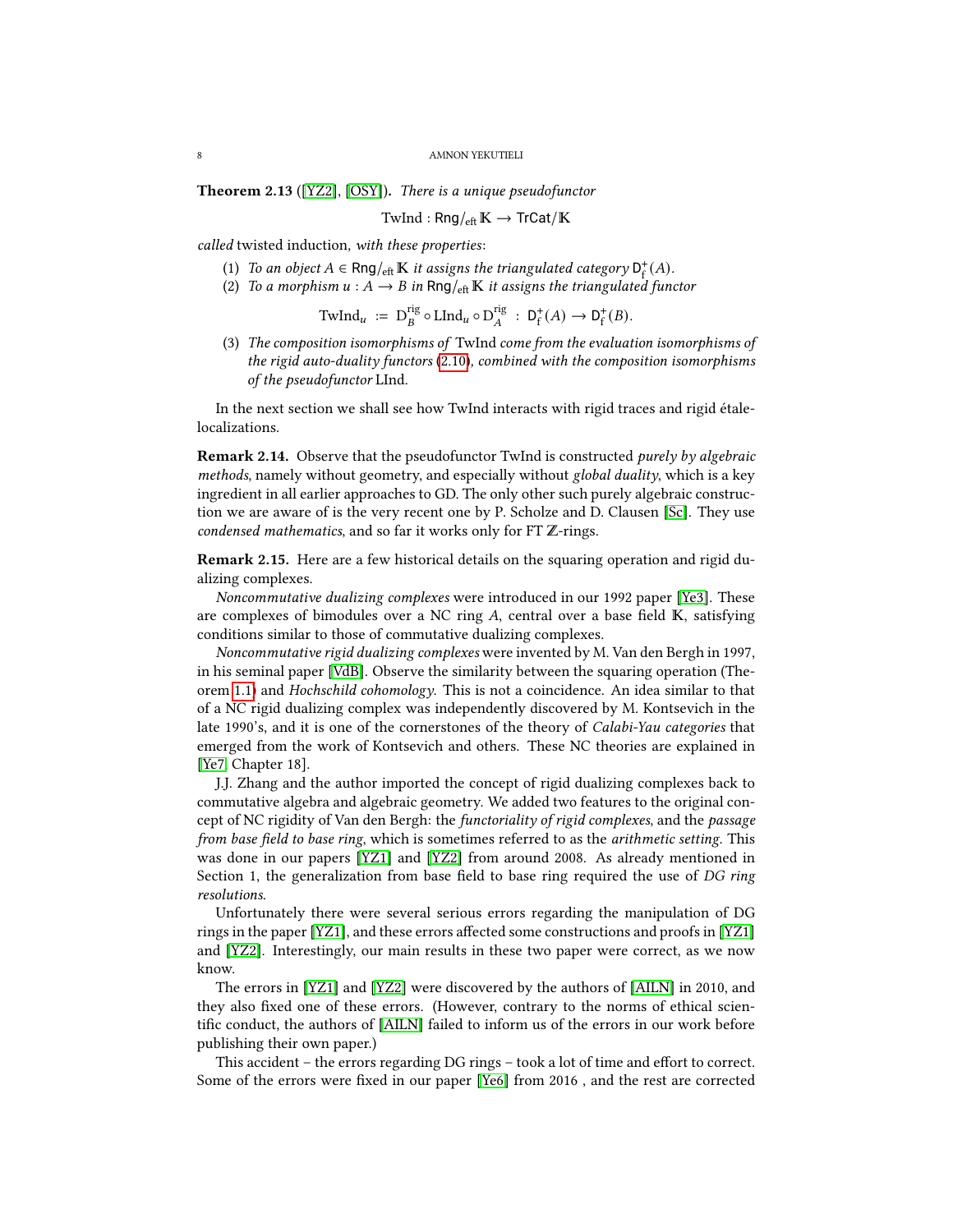<span id="page-7-1"></span>Theorem 2.13 ([\[YZ2\]](#page-19-10), [\[OSY\]](#page-19-2)). There is a unique pseudofunctor

$$
\text{TwInd}: \text{Rng/}_{\text{eff}}\mathbb{K} \to \text{TrCat}/\mathbb{K}
$$

called twisted induction, with these properties:

- (1) To an object  $A \in \text{Rng}_{\text{eff}} \mathbb{K}$  it assigns the triangulated category  $D_f^+(A)$ .
- (2) To a morphism  $u : A \to B$  in Rng/ $_{\text{eff}}$  K it assigns the triangulated functor

$$
\mathrm{TwInd}_{u} := \mathrm{D}_{B}^{\mathrm{rig}} \circ \mathrm{LInd}_{u} \circ \mathrm{D}_{A}^{\mathrm{rig}} : \, \mathrm{D}_{f}^{+}(A) \to \mathrm{D}_{f}^{+}(B).
$$

(3) The composition isomorphisms of TwInd come from the evaluation isomorphisms of the rigid auto-duality functors [\(2.10\)](#page-6-0), combined with the composition isomorphisms of the pseudofunctor LInd.

In the next section we shall see how TwInd interacts with rigid traces and rigid étalelocalizations.

<span id="page-7-0"></span>Remark 2.14. Observe that the pseudofunctor TwInd is constructed purely by algebraic methods, namely without geometry, and especially without global duality, which is a key ingredient in all earlier approaches to GD. The only other such purely algebraic construction we are aware of is the very recent one by P. Scholze and D. Clausen [\[Sc\]](#page-19-13). They use condensed mathematics, and so far it works only for FT  $\mathbb Z$ -rings.

Remark 2.15. Here are a few historical details on the squaring operation and rigid dualizing complexes.

Noncommutative dualizing complexes were introduced in our 1992 paper [\[Ye3\]](#page-19-14). These are complexes of bimodules over a NC ring  $A$ , central over a base field  $K$ , satisfying conditions similar to those of commutative dualizing complexes.

Noncommutative rigid dualizing complexes were invented by M. Van den Bergh in 1997, in his seminal paper [\[VdB\]](#page-19-9). Observe the similarity between the squaring operation (Theorem [1.1\)](#page-2-2) and Hochschild cohomology. This is not a coincidence. An idea similar to that of a NC rigid dualizing complex was independently discovered by M. Kontsevich in the late 1990's, and it is one of the cornerstones of the theory of Calabi-Yau categories that emerged from the work of Kontsevich and others. These NC theories are explained in [\[Ye7,](#page-19-7) Chapter 18].

J.J. Zhang and the author imported the concept of rigid dualizing complexes back to commutative algebra and algebraic geometry. We added two features to the original concept of NC rigidity of Van den Bergh: the functoriality of rigid complexes, and the passage from base field to base ring, which is sometimes referred to as the arithmetic setting. This was done in our papers [\[YZ1\]](#page-19-8) and [\[YZ2\]](#page-19-10) from around 2008. As already mentioned in Section 1, the generalization from base field to base ring required the use of  $DG$  ring resolutions.

Unfortunately there were several serious errors regarding the manipulation of DG rings in the paper  $[YZ1]$ , and these errors affected some constructions and proofs in  $[YZ1]$ and [\[YZ2\]](#page-19-10). Interestingly, our main results in these two paper were correct, as we now know.

The errors in [\[YZ1\]](#page-19-8) and [\[YZ2\]](#page-19-10) were discovered by the authors of [\[AILN\]](#page-18-2) in 2010, and they also fixed one of these errors. (However, contrary to the norms of ethical scien-tific conduct, the authors of [\[AILN\]](#page-18-2) failed to inform us of the errors in our work before publishing their own paper.)

This accident – the errors regarding  $DG$  rings – took a lot of time and effort to correct. Some of the errors were fixed in our paper [\[Ye6\]](#page-19-0) from 2016, and the rest are corrected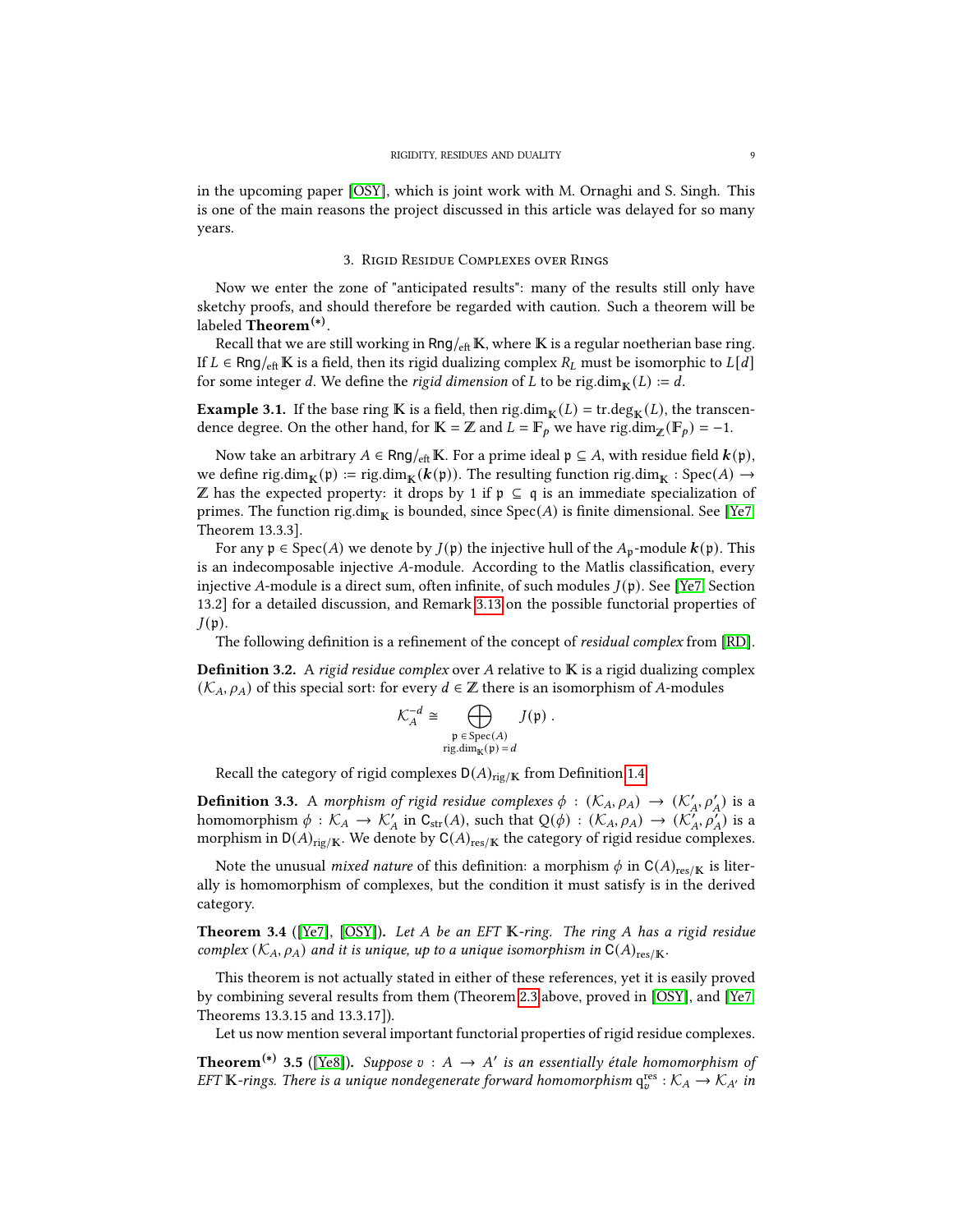in the upcoming paper [\[OSY\]](#page-19-2), which is joint work with M. Ornaghi and S. Singh. This is one of the main reasons the project discussed in this article was delayed for so many years.

## 3. Rigid Residue Complexes over Rings

<span id="page-8-0"></span>Now we enter the zone of "anticipated results": many of the results still only have sketchy proofs, and should therefore be regarded with caution. Such a theorem will be labeled **Theorem<sup>(\*)</sup>.** 

Recall that we are still working in  $Rng/_{\text{eff}} K$ , where K is a regular noetherian base ring. If  $L \in \text{Rng}/_{\text{eff}}$  K is a field, then its rigid dualizing complex  $R_L$  must be isomorphic to  $L[d]$ for some integer d. We define the rigid dimension of L to be rig.dim $_{\mathbb{K}}(L) := d$ .

**Example 3.1.** If the base ring **K** is a field, then rig.dim<sub>**K**</sub>(*L*) = tr.deg<sub>**K**</sub>(*L*), the transcendence degree. On the other hand, for  $\mathbb{K} = \mathbb{Z}$  and  $\overline{L} = \mathbb{F}_p$  we have rig.dim<sub> $\mathbb{Z}(\mathbb{F}_p) = -1$ .</sub>

Now take an arbitrary  $A \in \text{Rng}_{\text{eff}} K$ . For a prime ideal  $\mathfrak{p} \subseteq A$ , with residue field  $\mathbf{k}(\mathfrak{p})$ , we define rig.dim $_{\mathbb{K}}(\mathfrak{p}) := \text{rig.dim}_{\mathbb{K}}(\mathbf{k}(\mathfrak{p}))$ . The resulting function rig.dim $_{\mathbb{K}} : \text{Spec}(A) \to$  $\mathbb Z$  has the expected property: it drops by 1 if  $\mathfrak p \subseteq \mathfrak q$  is an immediate specialization of primes. The function rig.dim<sub>K</sub> is bounded, since  $Spec(A)$  is finite dimensional. See [\[Ye7,](#page-19-7) Theorem 13.3.3].

For any  $p \in Spec(A)$  we denote by  $J(p)$  the injective hull of the  $A_p$ -module  $k(p)$ . This is an indecomposable injective  $A$ -module. According to the Matlis classification, every injective A-module is a direct sum, often infinite, of such modules  $J(\mathfrak{p})$ . See [\[Ye7,](#page-19-7) Section 13.2] for a detailed discussion, and Remark [3.13](#page-10-2) on the possible functorial properties of  $J(p)$ .

The following definition is a refinement of the concept of residual complex from [\[RD\]](#page-19-1).

<span id="page-8-2"></span>**Definition 3.2.** A rigid residue complex over A relative to  $\mathbb{K}$  is a rigid dualizing complex  $(\mathcal{K}_A, \rho_A)$  of this special sort: for every  $d \in \mathbb{Z}$  there is an isomorphism of A-modules

$$
\mathcal{K}_A^{-d} \cong \bigoplus_{\substack{\mathfrak{p} \in \mathrm{Spec}(A) \\ \mathrm{rig.dim}_\mathbb{K}(\mathfrak{p}) = d}} J(\mathfrak{p}) \ .
$$

Recall the category of rigid complexes  $D(A)_{\text{rig}/K}$  from Definition [1.4.](#page-3-4)

**Definition 3.3.** A morphism of rigid residue complexes  $\phi$  :  $(\mathcal{K}_A, \rho_A) \to (\mathcal{K}'_A, \rho'_A)$  is a homomorphism  $\phi : \mathcal{K}_A \to \mathcal{K}_A'$  in  $C_{str}(A)$ , such that  $Q(\phi) : (\mathcal{K}_A, \rho_A) \to (\mathcal{K}_A', \rho_A')$  is a morphism in  $D(A)_{\text{rig}/K}$ . We denote by  $C(A)_{\text{res}/K}$  the category of rigid residue complexes.

Note the unusual *mixed nature* of this definition: a morphism  $\phi$  in C(A)<sub>res/K</sub> is literally is homomorphism of complexes, but the condition it must satisfy is in the derived category.

Theorem 3.4 ([\[Ye7\]](#page-19-7), [\[OSY\]](#page-19-2)). Let A be an EFT K-ring. The ring A has a rigid residue complex  $(\mathcal{K}_A, \rho_A)$  and it is unique, up to a unique isomorphism in  $C(A)_{res/K}$ .

This theorem is not actually stated in either of these references, yet it is easily proved by combining several results from them (Theorem [2.3](#page-5-1) above, proved in [\[OSY\]](#page-19-2), and [\[Ye7,](#page-19-7) Theorems 13.3.15 and 13.3.17]).

Let us now mention several important functorial properties of rigid residue complexes.

<span id="page-8-1"></span>**Theorem<sup>(\*)</sup> 3.5** ([\[Ye8\]](#page-19-3)). Suppose  $v : A \rightarrow A'$  is an essentially étale homomorphism of EFT K-rings. There is a unique nondegenerate forward homomorphism  $q_v^{res}: K_A \to K_{A'}$  in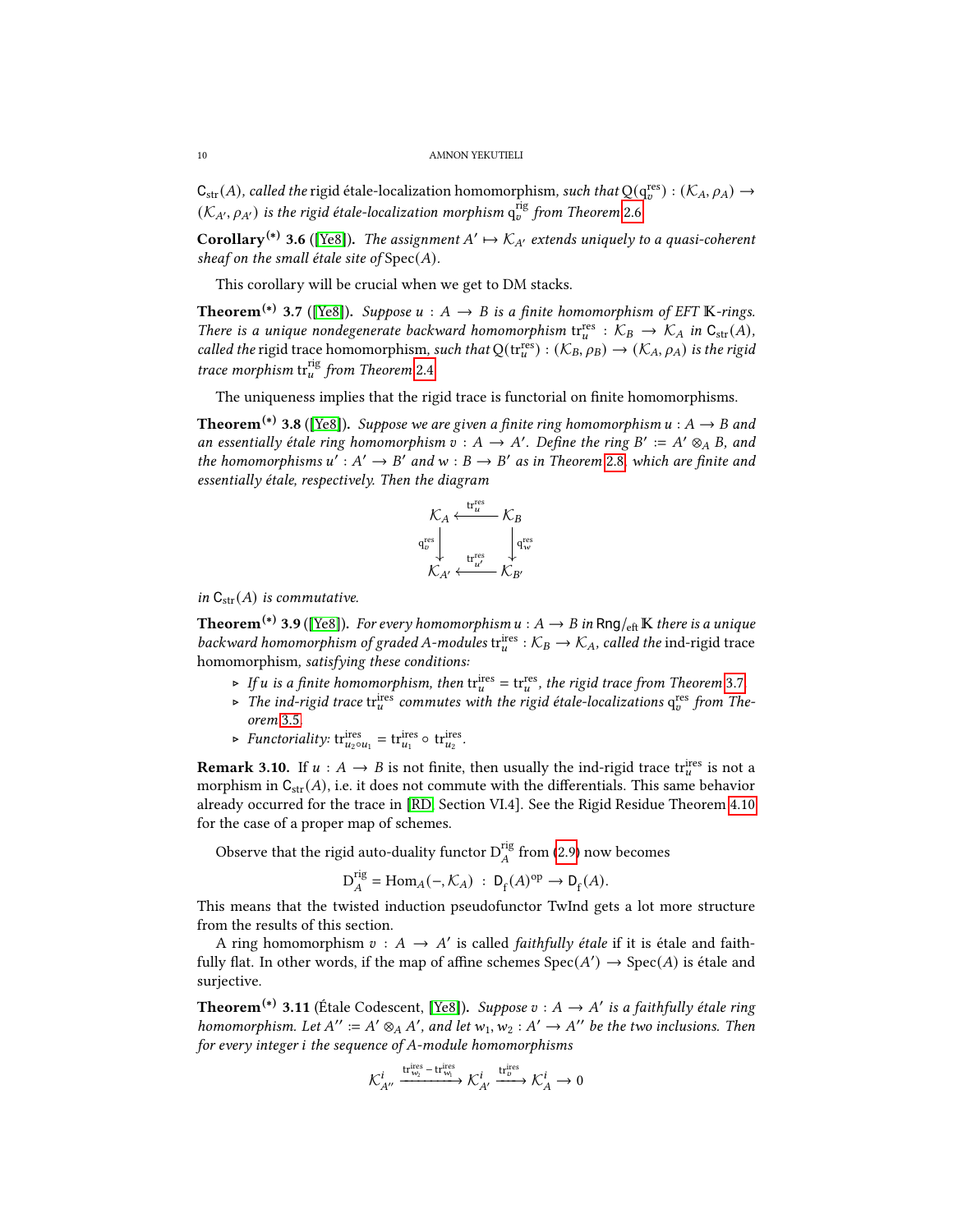$C_{str}(A)$ , called the rigid étale-localization homomorphism, such that  $Q(q_o^{res})$  :  $(\mathcal{K}_A, \rho_A) \to$  $(\mathcal{K}_{A'}, \rho_{A'})$  is the rigid étale-localization morphism  $\mathrm{q}_v^{\text{rig}}$  from Theorem [2.6](#page-5-2).

<span id="page-9-3"></span>**Corollary<sup>(\*)</sup> 3.6** ([\[Ye8\]](#page-19-3)). The assignment  $A' \mapsto \mathcal{K}_{A'}$  extends uniquely to a quasi-coherent sheaf on the small étale site of  $Spec(A)$ .

This corollary will be crucial when we get to DM stacks.

<span id="page-9-0"></span>**Theorem<sup>(\*)</sup> 3.7** ([\[Ye8\]](#page-19-3)). Suppose  $u : A \rightarrow B$  is a finite homomorphism of EFT K-rings. There is a unique nondegenerate backward homomorphism  $tr_u^{res}: K_B \to K_A$  in  $C_{str}(A)$ , called the rigid trace homomorphism, such that  $Q(\text{tr}_{u}^{\text{res}}): (\mathcal{K}_B, \rho_B) \to (\mathcal{K}_A, \rho_A)$  is the rigid trace morphism  $\text{tr}_{u}^{\text{rig}}$  from Theorem [2.4](#page-5-3).

The uniqueness implies that the rigid trace is functorial on finite homomorphisms.

<span id="page-9-1"></span>**Theorem<sup>(\*)</sup> 3.8** ([\[Ye8\]](#page-19-3)). Suppose we are given a finite ring homomorphism  $u : A \rightarrow B$  and an essentially étale ring homomorphism  $v : A \to A'$ . Define the ring  $B' := A' \otimes_A B$ , and the homomorphisms  $u' : A' \to B'$  and  $w : B \to B'$  as in Theorem [2.8](#page-6-1), which are finite and essentially étale, respectively. Then the diagram



in  $C_{str}(A)$  is commutative.

<span id="page-9-2"></span>**Theorem<sup>(\*)</sup> 3.9** ([\[Ye8\]](#page-19-3)). For every homomorphism  $u : A \to B$  in Rng/<sub>eft</sub> K there is a unique backward homomorphism of graded A-modules  $tr_u^{ires}: K_B \to K_A$ , called the ind-rigid trace homomorphism, satisfying these conditions:

- ► If *u* is a finite homomorphism, then  $tr_u^{ires} = tr_u^{res}$ , the rigid trace from Theorem [3.7](#page-9-0).
- ► The ind-rigid trace tri<sup>ties</sup> commutes with the rigid étale-localizations  $q_v^{res}$  from Theorem [3.5](#page-8-1).
- ► Functoriality:  $\text{tr}_{u_2 \circ u_1}^{\text{ires}} = \text{tr}_{u_1}^{\text{ires}} \circ \text{tr}_{u_2}^{\text{ires}}.$

**Remark 3.10.** If  $u : A \rightarrow B$  is not finite, then usually the ind-rigid trace trace is not a morphism in  $C_{str}(A)$ , i.e. it does not commute with the differentials. This same behavior already occurred for the trace in [\[RD,](#page-19-1) Section VI.4]. See the Rigid Residue Theorem [4.10](#page-12-0) for the case of a proper map of schemes.

Observe that the rigid auto-duality functor  $D_A^{rig}$  from [\(2.9\)](#page-6-2) now becomes

$$
\mathcal{D}_A^{\text{rig}} = \text{Hom}_A(-, \mathcal{K}_A) : \mathcal{D}_f(A)^{\text{op}} \to \mathcal{D}_f(A).
$$

This means that the twisted induction pseudofunctor TwInd gets a lot more structure from the results of this section.

A ring homomorphism  $v : A \rightarrow A'$  is called *faithfully étale* if it is étale and faithfully flat. In other words, if the map of affine schemes  $Spec(A') \rightarrow Spec(A)$  is étale and surjective.

<span id="page-9-4"></span>**Theorem<sup>(\*)</sup> 3.11** (Étale Codescent, [\[Ye8\]](#page-19-3)). Suppose  $v : A \rightarrow A'$  is a faithfully étale ring homomorphism. Let  $A'' := A' \otimes_A A'$ , and let  $w_1, w_2 : A' \to A''$  be the two inclusions. Then for every integer  $i$  the sequence of A-module homomorphisms

$$
\mathcal{K}_{A''}^i \xrightarrow{\mathrm{tr}^{\mathrm{ires}}_{\mathbf{w}_2}-\mathrm{tr}^{\mathrm{ires}}_{\mathbf{w}_1}} \mathcal{K}_{A'}^i \xrightarrow{\mathrm{tr}^{\mathrm{ires}}_{v}} \mathcal{K}_{A}^i \to 0
$$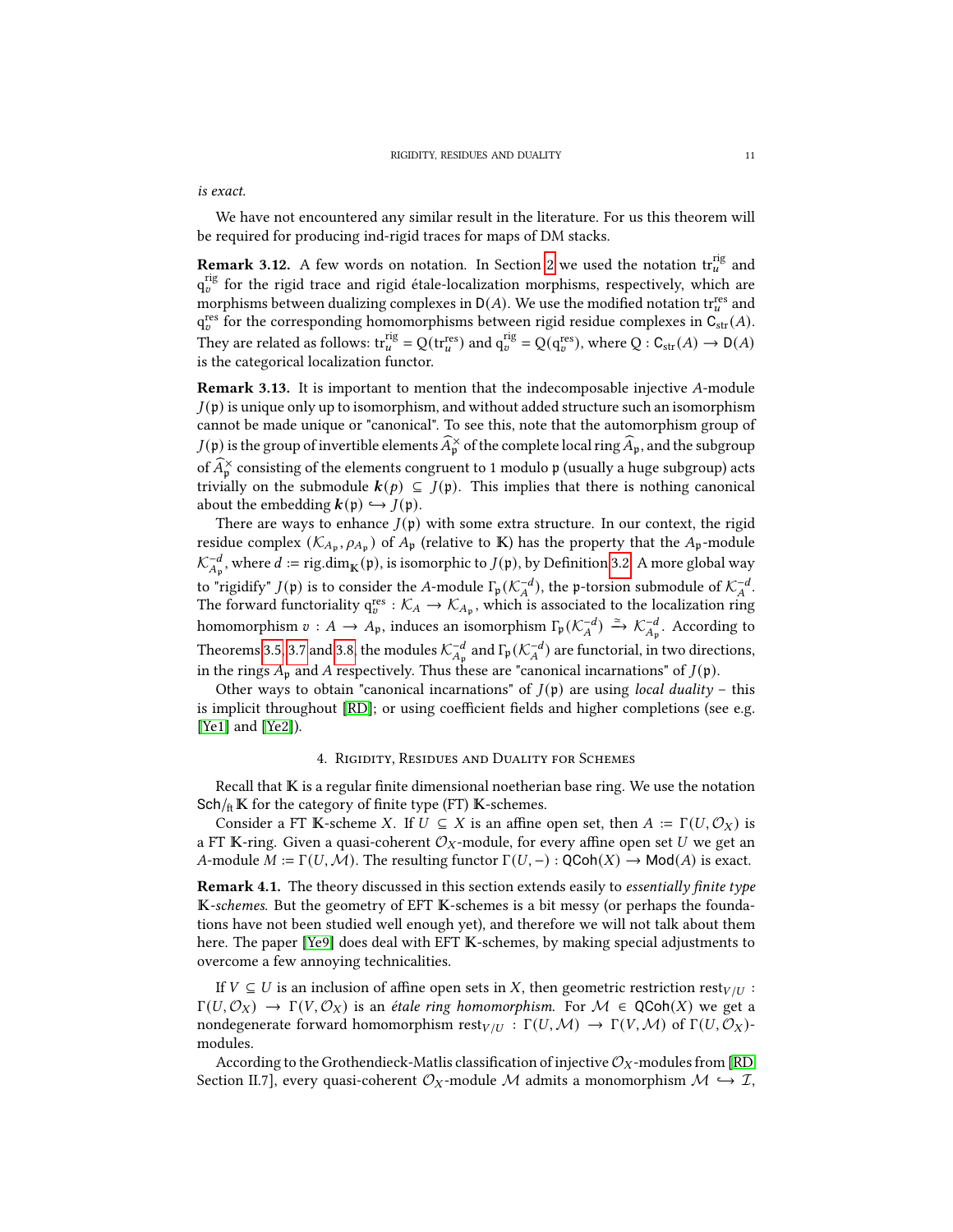is exact.

We have not encountered any similar result in the literature. For us this theorem will be required for producing ind-rigid traces for maps of DM stacks.

<span id="page-10-1"></span>**Remark 3.12.** A few words on notation. In Section [2](#page-5-0) we used the notation  $\text{tr}_{u}^{\text{rig}}$  and  $\mathrm{q}_v^{\mathrm{rig}}$  for the rigid trace and rigid étale-localization morphisms, respectively, which are morphisms between dualizing complexes in  $D(A)$ . We use the modified notation traces and  $q_v^{\text{res}}$  for the corresponding homomorphisms between rigid residue complexes in  $\mathcal{C}_{\text{str}}(A)$ . They are related as follows:  $\text{tr}_{u}^{\text{rig}} = Q(\text{tr}_{u}^{\text{res}})$  and  $q_{v}^{\text{rig}} = Q(q_{v}^{\text{res}})$ , where  $Q: \text{C}_{\text{str}}(A) \to \text{D}(A)$ is the categorical localization functor.

<span id="page-10-2"></span>**Remark 3.13.** It is important to mention that the indecomposable injective  $A$ -module  $J(\mathfrak{p})$  is unique only up to isomorphism, and without added structure such an isomorphism cannot be made unique or "canonical". To see this, note that the automorphism group of  $J(\mathfrak{p})$  is the group of invertible elements  $\widehat{A}_{\mathfrak{p}}^{\times}$  of the complete local ring  $\widehat{A}_{\mathfrak{p}}$ , and the subgroup of  $\widehat{A}_{\nu}^{\times}$  consisting of the elements congruent to 1 modulo p (usually a huge subgroup) acts trivially on the submodule  $k(p) \subseteq J(p)$ . This implies that there is nothing canonical about the embedding  $k(\mathfrak{p}) \hookrightarrow J(\mathfrak{p})$ .

There are ways to enhance  $J(\mathfrak{p})$  with some extra structure. In our context, the rigid residue complex  $(\mathcal{K}_{A_{\mathfrak{p}}}, \rho_{A_{\mathfrak{p}}})$  of  $A_{\mathfrak{p}}$  (relative to K) has the property that the  $A_{\mathfrak{p}}$ -module  $\mathcal{K}_{A_{\mathfrak{p}}}^{-d}$ , where  $d := \text{rig.dim}_{\mathbb{K}}(\mathfrak{p})$ , is isomorphic to  $J(\mathfrak{p})$ , by Definition [3.2.](#page-8-2) A more global way to "rigidify"  $J(\mathfrak{p})$  is to consider the A-module  $\Gamma_{\mathfrak{p}}(\mathcal{K}_A^{-d})$ , the  $\mathfrak{p}$ -torsion submodule of  $\mathcal{K}_A^{-d}$ . The forward functoriality  $q_v^{res}: \mathcal{K}_A \to \mathcal{K}_{A_p}$ , which is associated to the localization ring homomorphism  $v : A \to A_p$ , induces an isomorphism  $\Gamma_p(\mathcal{K}_A^{-d}) \xrightarrow{\simeq} \mathcal{K}_{A_p}^{-d}$ . According to Theorems [3.5,](#page-8-1) [3.7](#page-9-0) and [3.8,](#page-9-1) the modules  $\mathcal{K}_{A_p}^{-d}$  and  $\Gamma_p(\mathcal{K}_A^{-d})$  are functorial, in two directions, in the rings  $A_p$  and A respectively. Thus these are "canonical incarnations" of  $J(p)$ .

Other ways to obtain "canonical incarnations" of  $J(\mathfrak{p})$  are using *local duality* – this is implicit throughout [\[RD\]](#page-19-1); or using coefficient fields and higher completions (see e.g. [\[Ye1\]](#page-19-15) and [\[Ye2\]](#page-19-16)).

## 4. Rigidity, Residues and Duality for Schemes

<span id="page-10-0"></span>Recall that  $K$  is a regular finite dimensional noetherian base ring. We use the notation  $Sch/_{ft}$  K for the category of finite type (FT) K-schemes.

Consider a FT K-scheme X. If  $U \subseteq X$  is an affine open set, then  $A := \Gamma(U, \mathcal{O}_X)$  is a FT K-ring. Given a quasi-coherent  $\mathcal{O}_X$ -module, for every affine open set U we get an A-module  $M := \Gamma(U, \mathcal{M})$ . The resulting functor  $\Gamma(U, -) : \text{QCoh}(X) \to \text{Mod}(A)$  is exact.

**Remark 4.1.** The theory discussed in this section extends easily to *essentially finite type* K-schemes. But the geometry of EFT K-schemes is a bit messy (or perhaps the foundations have not been studied well enough yet), and therefore we will not talk about them here. The paper [\[Ye9\]](#page-19-4) does deal with EFT K-schemes, by making special adjustments to overcome a few annoying technicalities.

If  $V \subseteq U$  is an inclusion of affine open sets in X, then geometric restriction rest  $V/U$ :  $\Gamma(U, \mathcal{O}_X) \to \Gamma(V, \mathcal{O}_X)$  is an étale ring homomorphism. For  $\mathcal{M} \in \text{QCoh}(X)$  we get a nondegenerate forward homomorphism  $\text{rest}_{V/U} : \Gamma(U, \mathcal{M}) \to \Gamma(V, \mathcal{M})$  of  $\Gamma(U, \mathcal{O}_X)$ modules.

According to the Grothendieck-Matlis classification of injective  $\mathcal{O}_X$ -modules from [\[RD,](#page-19-1) Section II.7], every quasi-coherent  $\mathcal{O}_X$ -module M admits a monomorphism  $\mathcal{M} \hookrightarrow \mathcal{I}$ ,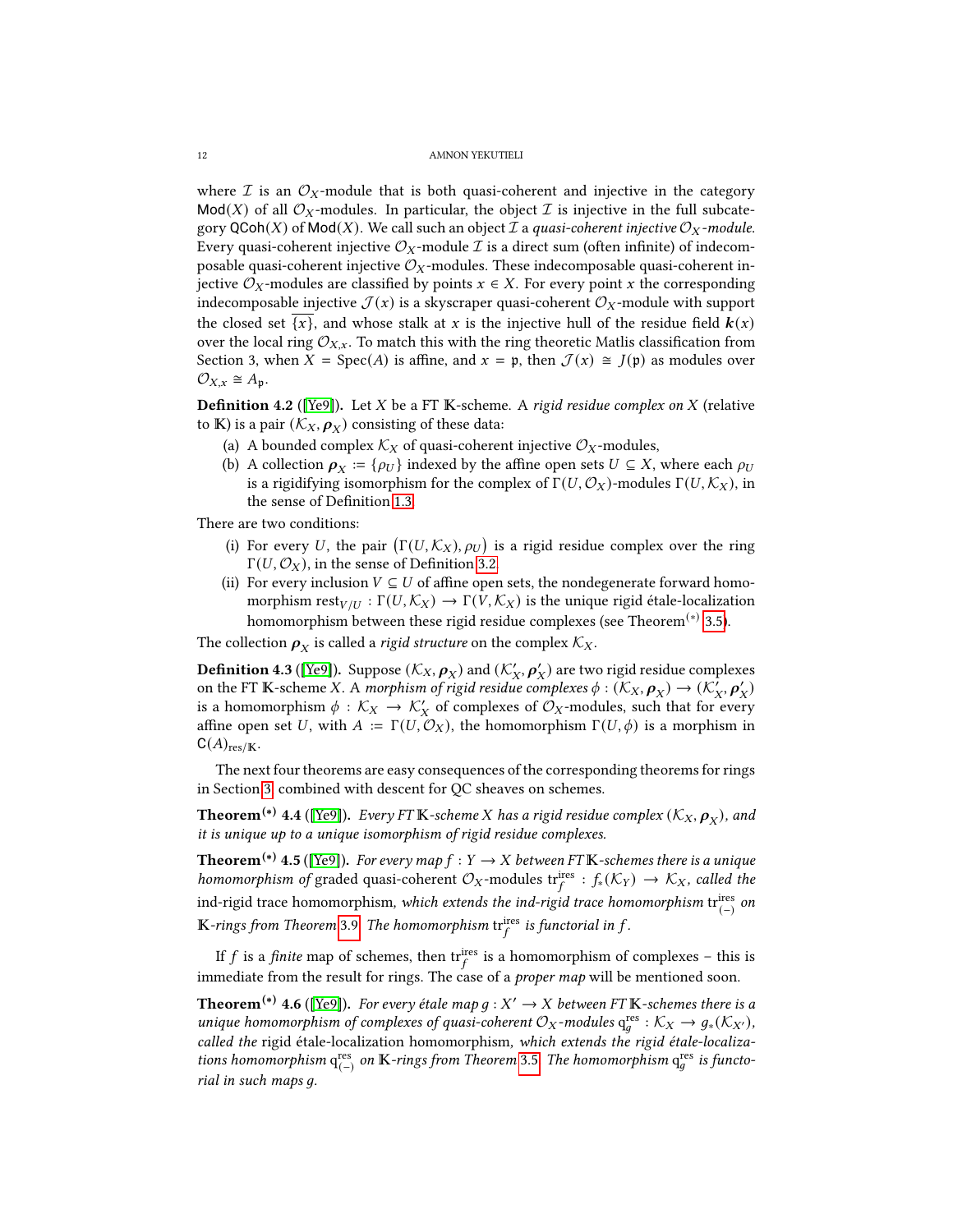where  $\mathcal I$  is an  $\mathcal O_X$ -module that is both quasi-coherent and injective in the category  $Mod(X)$  of all  $\mathcal{O}_X$ -modules. In particular, the object  $\mathcal I$  is injective in the full subcategory QCoh(X) of Mod(X). We call such an object  $\mathcal I$  a quasi-coherent injective  $\mathcal O_X$ -module. Every quasi-coherent injective  $\mathcal{O}_X$ -module  $\mathcal I$  is a direct sum (often infinite) of indecomposable quasi-coherent injective  $\mathcal{O}_X$ -modules. These indecomposable quasi-coherent injective  $\mathcal{O}_X$ -modules are classified by points  $x \in X$ . For every point x the corresponding indecomposable injective  $\mathcal{J}(x)$  is a skyscraper quasi-coherent  $\mathcal{O}_X$ -module with support the closed set  $\{x\}$ , and whose stalk at x is the injective hull of the residue field  $\mathbf{k}(x)$ over the local ring  $\mathcal{O}_{X,x}$ . To match this with the ring theoretic Matlis classification from Section 3, when  $X = \text{Spec}(A)$  is affine, and  $x = \mathfrak{p}$ , then  $\mathcal{J}(x) \cong J(\mathfrak{p})$  as modules over  $\mathcal{O}_{X,x} \cong A_{\mathfrak{p}}.$ 

**Definition 4.2** ([\[Ye9\]](#page-19-4)). Let *X* be a FT K-scheme. A rigid residue complex on *X* (relative to  $\mathbb{K}$ ) is a pair  $(\mathcal{K}_X, \boldsymbol{\rho}_X)$  consisting of these data:

- (a) A bounded complex  $\mathcal{K}_X$  of quasi-coherent injective  $\mathcal{O}_X$ -modules,
- (b) A collection  $\rho_X := \{ \rho_U \}$  indexed by the affine open sets  $U \subseteq X$ , where each  $\rho_U$ is a rigidifying isomorphism for the complex of  $\Gamma(U, \mathcal{O}_X)$ -modules  $\Gamma(U, \mathcal{K}_X)$ , in the sense of Definition [1.3.](#page-3-3)

There are two conditions:

- (i) For every U, the pair  $(\Gamma(U,\mathcal{K}_X), \rho_U)$  is a rigid residue complex over the ring Γ(*U*,  $\mathcal{O}_X$ ), in the sense of Definition [3.2.](#page-8-2)
- (ii) For every inclusion  $V \subseteq U$  of affine open sets, the nondegenerate forward homomorphism  $\text{rest}_{V/U} : \Gamma(U, \mathcal{K}_X) \to \Gamma(V, \mathcal{K}_X)$  is the unique rigid étale-localization homomorphism between these rigid residue complexes (see Theorem<sup>(\*)</sup> [3.5\)](#page-8-1).

The collection  $\rho_X^+$  is called a *rigid structure* on the complex  $\mathcal{K}_X$ .

**Definition 4.3** ([\[Ye9\]](#page-19-4)). Suppose  $(\mathcal{K}_X, \boldsymbol{\rho}_X)$  and  $(\mathcal{K}'_X, \boldsymbol{\rho}'_X)$  are two rigid residue complexes on the FT K-scheme X. A morphism of rigid residue complexes  $\phi : (K_X, \rho_X) \to (K'_X, \rho'_X)$ is a homomorphism  $\phi : \mathcal{K}_X \to \mathcal{K}'_X$  of complexes of  $\mathcal{O}_X$ -modules, such that for every affine open set U, with  $A := \Gamma(U, \mathcal{O}_X)$ , the homomorphism  $\Gamma(U, \phi)$  is a morphism in  $C(A)_{res/K}.$ 

The next four theorems are easy consequences of the corresponding theorems for rings in Section [3,](#page-8-0) combined with descent for QC sheaves on schemes.

**Theorem** $^{(*)}$  **4.4** ([\[Ye9\]](#page-19-4)). Every FT  $\mathbb K$ -scheme  $X$  has a rigid residue complex  $(\mathcal K_X, \bm\rho_X)$ , and it is unique up to a unique isomorphism of rigid residue complexes.

<span id="page-11-0"></span>**Theorem<sup>(\*)</sup> 4.5** ([\[Ye9\]](#page-19-4)). For every map  $f : Y \to X$  between FT K-schemes there is a unique homomorphism of graded quasi-coherent  $\mathcal{O}_X$ -modules trifes :  $f_*(\mathcal{K}_Y) \to \mathcal{K}_X$ , called the ind-rigid trace homomorphism, which extends the ind-rigid trace homomorphism  $\mathrm{tr}^\mathrm{ires}_{(-)}$  on  $\mathbb K$ -rings from Theorem [3.9](#page-9-2). The homomorphism  $\mathrm{tr}_f^{\mathrm{ires}}$  is functorial in  $f.$ 

If f is a finite map of schemes, then  $\text{tr}_{f}^{\text{ires}}$  is a homomorphism of complexes – this is immediate from the result for rings. The case of a *proper map* will be mentioned soon.

<span id="page-11-1"></span>**Theorem<sup>(\*)</sup> 4.6** ([\[Ye9\]](#page-19-4)). For every étale map  $g : X' \to X$  between FT  $\mathbb{K}$ -schemes there is a unique homomorphism of complexes of quasi-coherent  $\mathcal{O}_X$ -modules  $q_a^{res}: \mathcal{K}_X \to g_*(\mathcal{K}_{X'})$ , called the rigid étale-localization homomorphism, which extends the rigid étale-localizations homomorphism  $q^{\text{res}}_{(-)}$  on  $\mathbb K\text{-}rings$  from Theorem [3.5](#page-8-1). The homomorphism  $q^{\text{res}}_g$  is functorial in such maps q.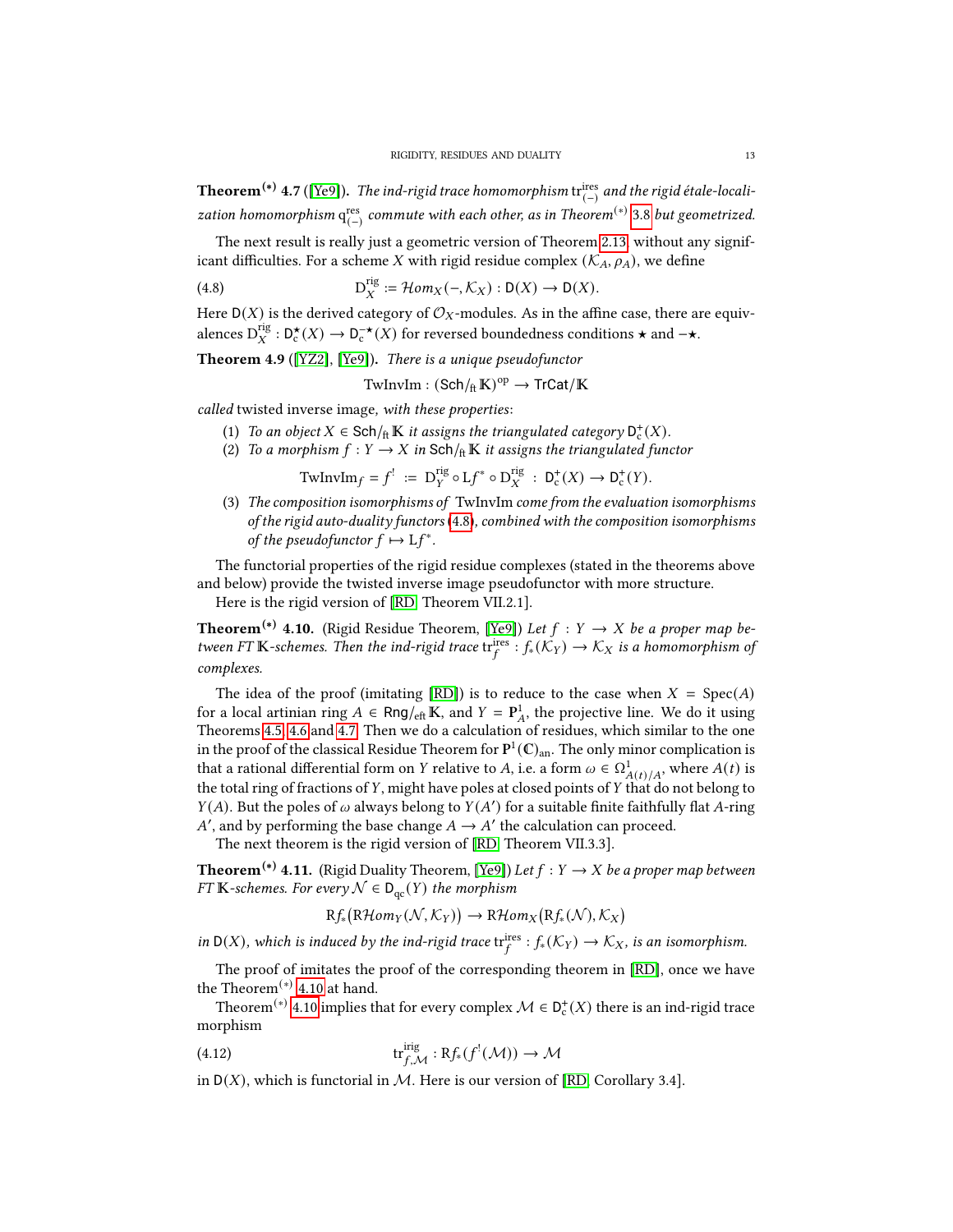<span id="page-12-4"></span>**Theorem** $^{(*)}$  **4.7** ([\[Ye9\]](#page-19-4)). *The ind-rigid trace homomorphism* tr $_{(-)}^{\mathrm{ires}}$  *and the rigid étale-locali*zation homomorphism  ${\bf q}^{\rm res}_{(-)}$  commute with each other, as in Theorem $^{(*)}$  [3.8](#page-9-1) but geometrized.

The next result is really just a geometric version of Theorem [2.13,](#page-7-1) without any significant difficulties. For a scheme X with rigid residue complex  $(K_A, \rho_A)$ , we define

(4.8) 
$$
D_X^{rig} := \mathcal{H}om_X(-, \mathcal{K}_X) : D(X) \to D(X).
$$

Here  $D(X)$  is the derived category of  $\mathcal{O}_X$ -modules. As in the affine case, there are equivalences  $D_X^{\text{rig}}: D_{\mathfrak{c}}^{\star}(X) \to D_{\mathfrak{c}}^{-\star}(X)$  for reversed boundedness conditions  $\star$  and  $-\star$ .

<span id="page-12-2"></span>Theorem 4.9 ([\[YZ2\]](#page-19-10), [\[Ye9\]](#page-19-4)). There is a unique pseudofunctor

<span id="page-12-3"></span> $\text{TwInvIm} : (\mathsf{Sch}/_{\text{ft}}\mathbb{K})^{\text{op}} \to \text{TrCat}/\mathbb{K}$ 

called twisted inverse image, with these properties:

- (1) To an object  $X \in \mathsf{Sch}/\mathfrak{h} \mathbb{K}$  it assigns the triangulated category  $\mathsf{D}^{\mathsf{t}}_{\mathsf{c}}(X)$ .
- (2) To a morphism  $f: Y \to X$  in Sch/ $\text{ft } \mathbb{K}$  it assigns the triangulated functor

$$
\text{TwInvIm} f = f^! := \mathbf{D}_Y^{\text{rig}} \circ \mathbf{L} f^* \circ \mathbf{D}_X^{\text{rig}} : \mathbf{D}_c^+(X) \to \mathbf{D}_c^+(Y).
$$

(3) The composition isomorphisms of TwInvIm come from the evaluation isomorphisms of the rigid auto-duality functors [\(4.8\)](#page-12-3), combined with the composition isomorphisms of the pseudofunctor  $f \mapsto Lf^*$ .

The functorial properties of the rigid residue complexes (stated in the theorems above and below) provide the twisted inverse image pseudofunctor with more structure.

Here is the rigid version of [\[RD,](#page-19-1) Theorem VII.2.1].

<span id="page-12-0"></span>**Theorem<sup>(\*)</sup> 4.10.** (Rigid Residue Theorem, [\[Ye9\]](#page-19-4)) Let  $f : Y \rightarrow X$  be a proper map between FT K-schemes. Then the ind-rigid trace  $tr_f^{\text{ires}}: f_*(\mathcal{K}_Y) \to \mathcal{K}_X$  is a homomorphism of complexes.

The idea of the proof (imitating [\[RD\]](#page-19-1)) is to reduce to the case when  $X = Spec(A)$ for a local artinian ring  $A \in \text{Rng}/_{\text{eff}} K$ , and  $Y = P_A^1$ , the projective line. We do it using Theorems [4.5,](#page-11-0) [4.6](#page-11-1) and [4.7.](#page-12-4) Then we do a calculation of residues, which similar to the one in the proof of the classical Residue Theorem for  $\mathbf{P}^1(\mathbb{C})_{\rm an}$ . The only minor complication is that a rational differential form on Y relative to A, i.e. a form  $\omega \in \Omega^1_{A(t)/A}$ , where  $A(t)$  is the total ring of fractions of  $Y$ , might have poles at closed points of  $Y$  that do not belong to  $Y(A)$ . But the poles of  $\omega$  always belong to  $Y(A')$  for a suitable finite faithfully flat A-ring A', and by performing the base change  $A \rightarrow A'$  the calculation can proceed.

The next theorem is the rigid version of [\[RD,](#page-19-1) Theorem VII.3.3].

<span id="page-12-1"></span>**Theorem<sup>(\*)</sup> 4.11.** (Rigid Duality Theorem, [\[Ye9\]](#page-19-4)) Let  $f : Y \to X$  be a proper map between FT K-schemes. For every  $\mathcal{N} \in D_{\text{qc}}(Y)$  the morphism

 $Rf_{*}(R\mathcal{H}om_{Y}(\mathcal{N},\mathcal{K}_{Y})) \rightarrow R\mathcal{H}om_{X}(Rf_{*}(\mathcal{N}),\mathcal{K}_{X})$ 

in D(X), which is induced by the ind-rigid trace  $tr_f^{ires}: f_*(\mathcal{K}_Y) \to \mathcal{K}_X$ , is an isomorphism.

The proof of imitates the proof of the corresponding theorem in [\[RD\]](#page-19-1), once we have the Theorem<sup>(\*)</sup> [4.10](#page-12-0) at hand.

Theorem<sup>(∗)</sup> [4.10](#page-12-0) implies that for every complex  $\mathcal{M} \in D_c^+(X)$  there is an ind-rigid trace morphism

(4.12) 
$$
\operatorname{tr}^{\text{irig}}_{f,\mathcal{M}}: \mathrm{R}f_*(f^{!}(\mathcal{M})) \to \mathcal{M}
$$

in  $D(X)$ , which is functorial in M. Here is our version of [\[RD,](#page-19-1) Corollary 3.4].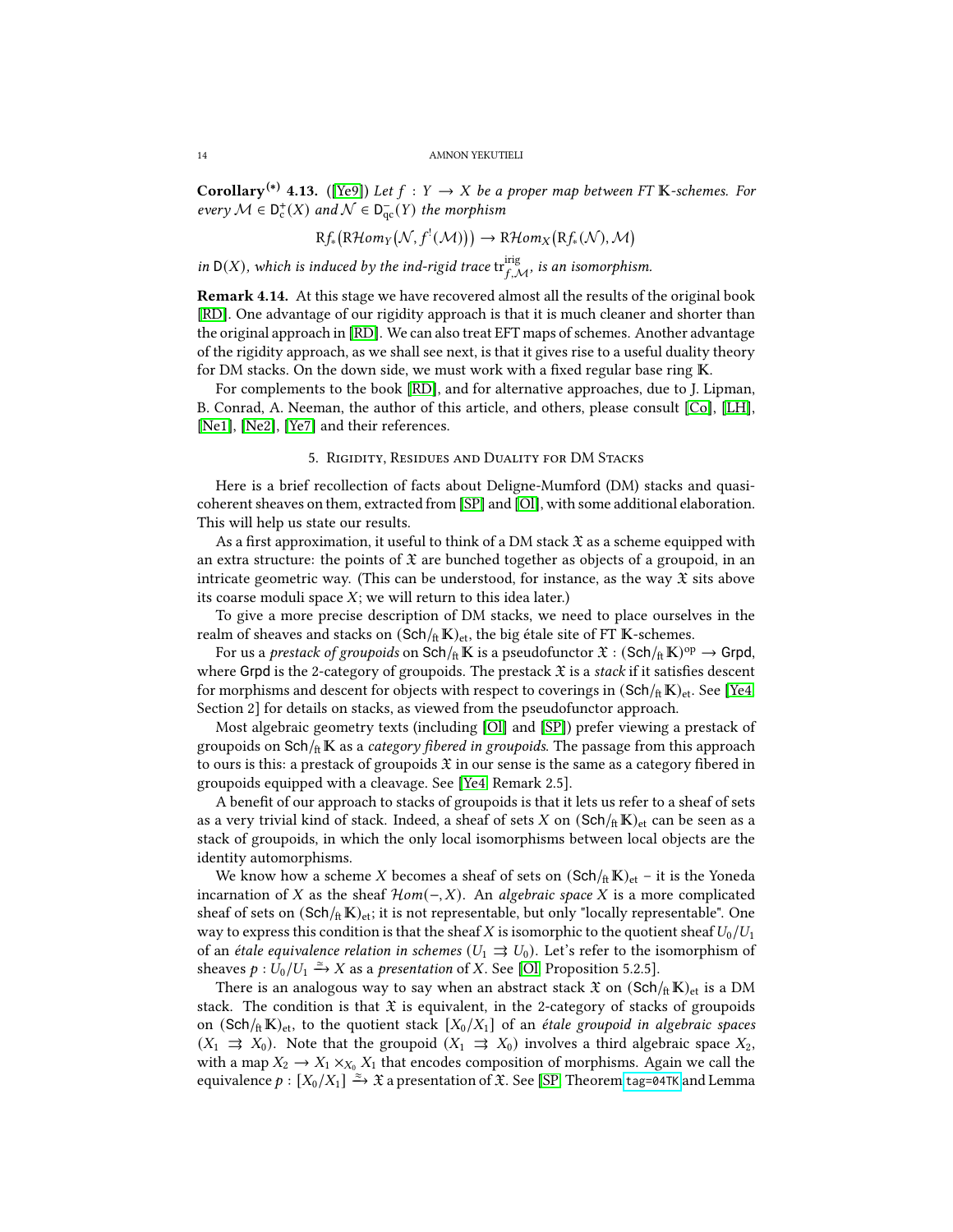**Corollary**<sup>(\*)</sup> 4.13. ([\[Ye9\]](#page-19-4)) Let  $f : Y \to X$  be a proper map between FT K-schemes. For every  $M \in D_c^+(X)$  and  $\mathcal{N} \in D_{qc}^-(Y)$  the morphism

$$
Rf_{*}(R\mathcal{H}om_{Y}(\mathcal{N},f^{!}(\mathcal{M}))) \to R\mathcal{H}om_{X}(Rf_{*}(\mathcal{N}),\mathcal{M})
$$

in  $D(X)$ , which is induced by the ind-rigid trace  $\text{tr}^{\text{irig}}_{f,\mathcal{M}}$ , is an isomorphism.

Remark 4.14. At this stage we have recovered almost all the results of the original book [\[RD\]](#page-19-1). One advantage of our rigidity approach is that it is much cleaner and shorter than the original approach in [\[RD\]](#page-19-1). We can also treat EFT maps of schemes. Another advantage of the rigidity approach, as we shall see next, is that it gives rise to a useful duality theory for DM stacks. On the down side, we must work with a fixed regular base ring  $K$ .

For complements to the book [\[RD\]](#page-19-1), and for alternative approaches, due to J. Lipman, B. Conrad, A. Neeman, the author of this article, and others, please consult [\[Co\]](#page-18-3), [\[LH\]](#page-18-4), [\[Ne1\]](#page-18-5), [\[Ne2\]](#page-18-6), [\[Ye7\]](#page-19-7) and their references.

### 5. Rigidity, Residues and Duality for DM Stacks

<span id="page-13-0"></span>Here is a brief recollection of facts about Deligne-Mumford (DM) stacks and quasicoherent sheaves on them, extracted from [\[SP\]](#page-19-11) and [\[Ol\]](#page-19-17), with some additional elaboration. This will help us state our results.

As a first approximation, it useful to think of a DM stack  $\mathfrak X$  as a scheme equipped with an extra structure: the points of  $\mathfrak X$  are bunched together as objects of a groupoid, in an intricate geometric way. (This can be understood, for instance, as the way  $\mathfrak X$  sits above its coarse moduli space  $X$ ; we will return to this idea later.)

To give a more precise description of DM stacks, we need to place ourselves in the realm of sheaves and stacks on  $(Sch/_{ft} K)_{et}$ , the big étale site of FT K-schemes.

For us a *prestack of groupoids* on Sch/ $_{\rm ft}$   $\mathbb K$  is a pseudofunctor  $\mathfrak X$  :  $({\rm Sch}/_{\rm ft}\mathbb K)^{\rm op}\to {\rm Grpd}$ , where Grpd is the 2-category of groupoids. The prestack  $\mathfrak X$  is a stack if it satisfies descent for morphisms and descent for objects with respect to coverings in  $(Sch<sub>ft</sub> K)<sub>et</sub>$ . See [\[Ye4,](#page-19-12) Section 2] for details on stacks, as viewed from the pseudofunctor approach.

Most algebraic geometry texts (including [\[Ol\]](#page-19-17) and [\[SP\]](#page-19-11)) prefer viewing a prestack of groupoids on  $Sch/f<sub>ft</sub>$  K as a *category fibered in groupoids*. The passage from this approach to ours is this: a prestack of groupoids  $\mathfrak X$  in our sense is the same as a category fibered in groupoids equipped with a cleavage. See [\[Ye4,](#page-19-12) Remark 2.5].

A benefit of our approach to stacks of groupoids is that it lets us refer to a sheaf of sets as a very trivial kind of stack. Indeed, a sheaf of sets X on  $(Sch<sub>ft</sub> K)<sub>et</sub>$  can be seen as a stack of groupoids, in which the only local isomorphisms between local objects are the identity automorphisms.

We know how a scheme X becomes a sheaf of sets on  $(Sch/_{\text{ft}} K)_{\text{et}}$  – it is the Yoneda incarnation of X as the sheaf  $Hom(-, X)$ . An algebraic space X is a more complicated sheaf of sets on  $(\text{Sch}/\text{ft}\,\mathbb{K})_{\text{et}}$ ; it is not representable, but only "locally representable". One way to express this condition is that the sheaf  $X$  is isomorphic to the quotient sheaf  $U_0/U_1$ of an *étale equivalence relation in schemes* ( $U_1 \rightrightarrows U_0$ ). Let's refer to the isomorphism of sheaves  $p: \tilde{U}_0/U_1 \xrightarrow{\simeq} X$  as a *presentation* of X. See [\[Ol,](#page-19-17) Proposition 5.2.5].

There is an analogous way to say when an abstract stack  $\mathfrak{X}$  on  $(\text{Sch}/_{\text{ft}} K)_{\text{et}}$  is a DM stack. The condition is that  $\mathfrak X$  is equivalent, in the 2-category of stacks of groupoids on (Sch/ $_{\text{ft}}$ K)<sub>et</sub>, to the quotient stack [X<sub>0</sub>/X<sub>1</sub>] of an *étale groupoid in algebraic spaces*  $(X_1 \rightrightarrows X_0)$ . Note that the groupoid  $(X_1 \rightrightarrows X_0)$  involves a third algebraic space  $X_2$ , with a map  $X_2 \to X_1 \times_{X_0} X_1$  that encodes composition of morphisms. Again we call the equivalence  $p: [X_0/X_1] \xrightarrow{\approx} \mathfrak{X}$  a presentation of  $\mathfrak{X}$ . See [\[SP,](#page-19-11) Theorem [tag=04TK](https://stacks.math.columbia.edu/tag/04TK) and Lemma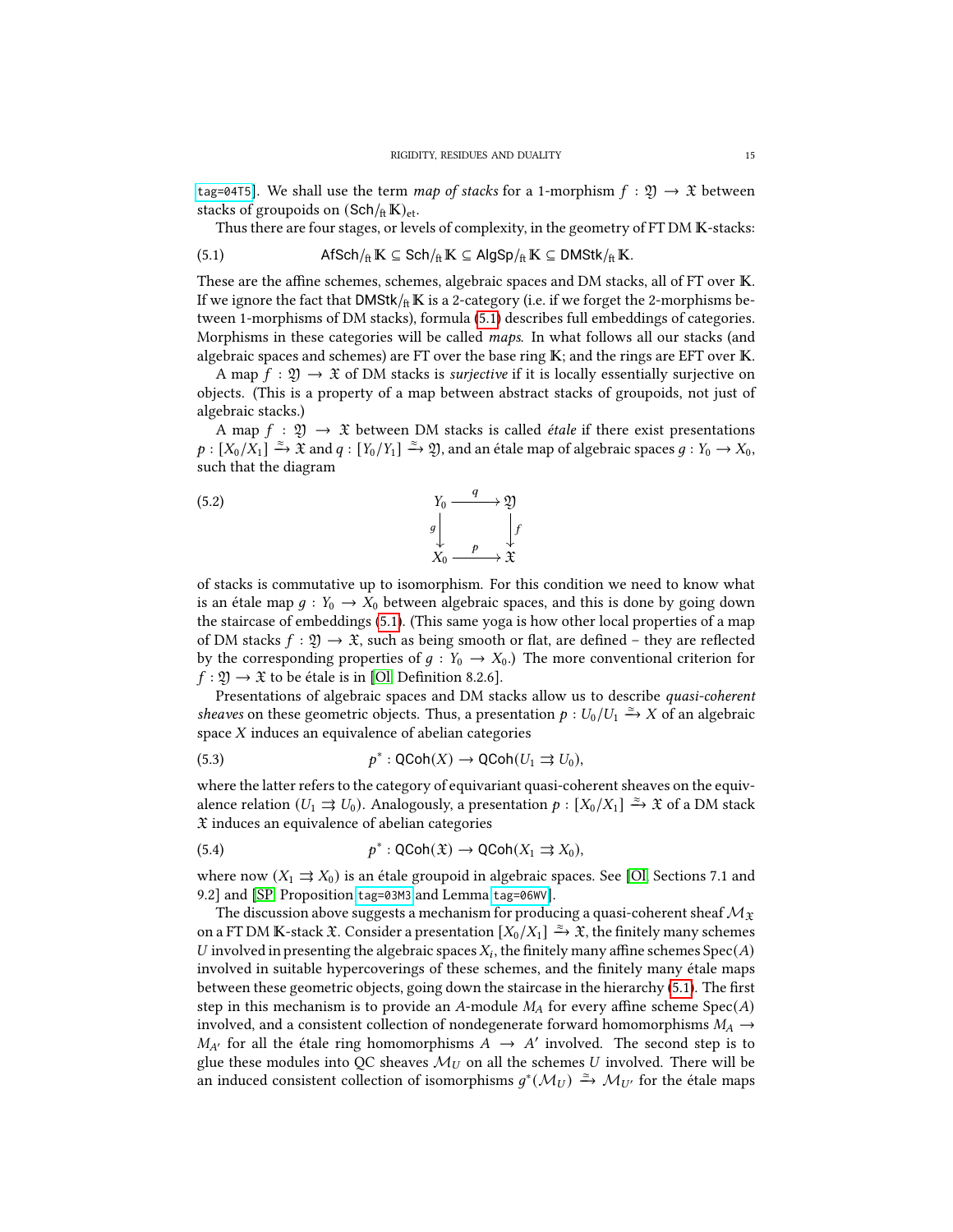[tag=04T5](https://stacks.math.columbia.edu/tag/04T5)]. We shall use the term map of stacks for a 1-morphism  $f : \mathfrak{Y} \to \mathfrak{X}$  between stacks of groupoids on  $(Sch/_{ft} K)_{et}$ .

<span id="page-14-0"></span>Thus there are four stages, or levels of complexity, in the geometry of FT DM K-stacks:

$$
\mathsf{(5.1)} \qquad \qquad \mathsf{Afsch}/_{\mathrm{ft}}\mathbb{K} \subseteq \mathsf{Sch}/_{\mathrm{ft}}\mathbb{K} \subseteq \mathsf{AlgSp}/_{\mathrm{ft}}\mathbb{K} \subseteq \mathsf{DMStk}/_{\mathrm{ft}}\mathbb{K}.
$$

These are the affine schemes, schemes, algebraic spaces and DM stacks, all of FT over K. If we ignore the fact that DMStk/ $_{\text{ft}}$ K is a 2-category (i.e. if we forget the 2-morphisms between 1-morphisms of DM stacks), formula [\(5.1\)](#page-14-0) describes full embeddings of categories. Morphisms in these categories will be called maps. In what follows all our stacks (and algebraic spaces and schemes) are FT over the base ring  $K$ ; and the rings are EFT over  $K$ .

A map  $f : \mathfrak{Y} \to \mathfrak{X}$  of DM stacks is *surjective* if it is locally essentially surjective on objects. (This is a property of a map between abstract stacks of groupoids, not just of algebraic stacks.)

A map  $f : \mathfrak{Y} \to \mathfrak{X}$  between DM stacks is called *étale* if there exist presentations  $p:[X_0/X_1]\xrightarrow{\approx} \tilde{\mathfrak{X}}$  and  $q:[Y_0/Y_1]\xrightarrow{\approx} \mathfrak{Y},$  and an étale map of algebraic spaces  $g:Y_0\to X_0,$ such that the diagram

<span id="page-14-3"></span>(5.2) 
$$
Y_0 \xrightarrow{q} \mathfrak{Y}
$$

$$
g \downarrow \qquad \qquad \downarrow f
$$

$$
X_0 \xrightarrow{p} \mathfrak{X}
$$

of stacks is commutative up to isomorphism. For this condition we need to know what is an étale map  $q: Y_0 \to X_0$  between algebraic spaces, and this is done by going down the staircase of embeddings [\(5.1\)](#page-14-0). (This same yoga is how other local properties of a map of DM stacks  $f : \mathfrak{Y} \to \mathfrak{X}$ , such as being smooth or flat, are defined – they are reflected by the corresponding properties of  $g : Y_0 \to X_0$ .) The more conventional criterion for  $f: \mathfrak{Y} \to \mathfrak{X}$  to be étale is in [\[Ol,](#page-19-17) Definition 8.2.6].

Presentations of algebraic spaces and DM stacks allow us to describe quasi-coherent sheaves on these geometric objects. Thus, a presentation  $p: U_0/U_1 \xrightarrow{\simeq} X$  of an algebraic space  $X$  induces an equivalence of abelian categories

<span id="page-14-1"></span>(5.3) 
$$
p^*: \text{QCoh}(X) \to \text{QCoh}(U_1 \rightrightarrows U_0),
$$

where the latter refers to the category of equivariant quasi-coherent sheaves on the equivalence relation  $(U_1 \rightrightarrows U_0)$ . Analogously, a presentation  $p : [X_0/X_1] \xrightarrow{\approx} \mathfrak{X}$  of a DM stack  $\mathfrak X$  induces an equivalence of abelian categories

<span id="page-14-2"></span>(5.4) 
$$
p^*: \text{QCoh}(\mathfrak{X}) \to \text{QCoh}(X_1 \rightrightarrows X_0),
$$

where now  $(X_1 \rightrightarrows X_0)$  is an étale groupoid in algebraic spaces. See [\[Ol,](#page-19-17) Sections 7.1 and 9.2] and [\[SP,](#page-19-11) Proposition [tag=03M3](https://stacks.math.columbia.edu/tag/03M3) and Lemma [tag=06WV](https://stacks.math.columbia.edu/tag/06WV)].

The discussion above suggests a mechanism for producing a quasi-coherent sheaf  $\mathcal{M}_\mathfrak{X}$ on a FT DM K-stack  $\mathfrak X$ . Consider a presentation  $[X_0/X_1] \xrightarrow{\simeq} \mathfrak X$ , the finitely many schemes U involved in presenting the algebraic spaces  $X_i$ , the finitely many affine schemes  $Spec(A)$ involved in suitable hypercoverings of these schemes, and the finitely many étale maps between these geometric objects, going down the staircase in the hierarchy [\(5.1\)](#page-14-0). The first step in this mechanism is to provide an A-module  $M_A$  for every affine scheme  $Spec(A)$ involved, and a consistent collection of nondegenerate forward homomorphisms  $M_A \rightarrow$  $M_{A'}$  for all the étale ring homomorphisms  $A \rightarrow A'$  involved. The second step is to glue these modules into QC sheaves  $\mathcal{M}_U$  on all the schemes U involved. There will be an induced consistent collection of isomorphisms  $g^*(\mathcal{M}_U) \stackrel{\simeq}{\to} \mathcal{M}_{U'}$  for the étale maps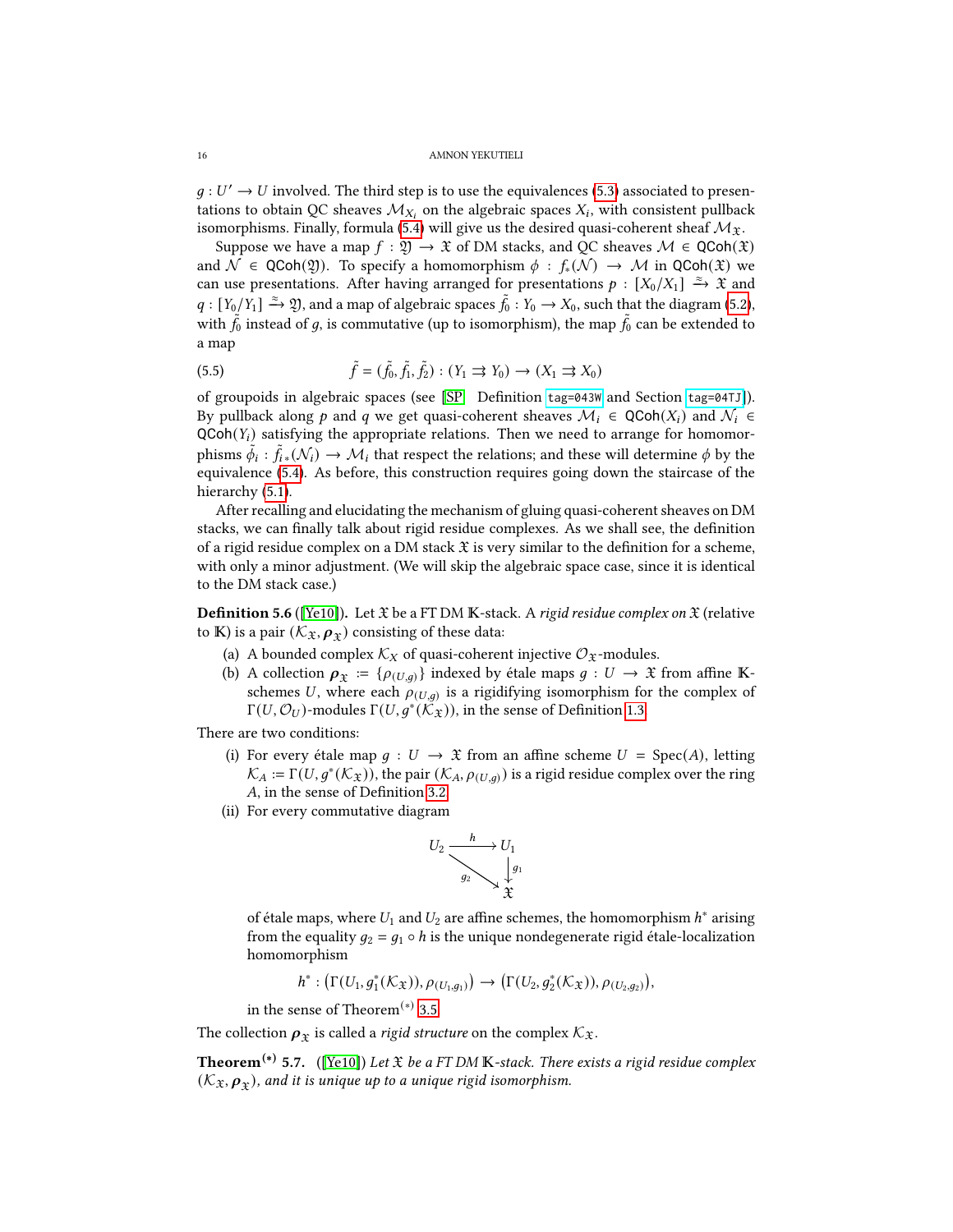$g: U' \to U$  involved. The third step is to use the equivalences [\(5.3\)](#page-14-1) associated to presentations to obtain QC sheaves  $\mathcal{M}_{X_i}$  on the algebraic spaces  $X_i$ , with consistent pullback isomorphisms. Finally, formula [\(5.4\)](#page-14-2) will give us the desired quasi-coherent sheaf  $\mathcal{M}_{\mathfrak{X}}$ .

Suppose we have a map  $f : \mathfrak{Y} \to \mathfrak{X}$  of DM stacks, and QC sheaves  $\mathcal{M} \in \mathsf{QCoh}(\mathfrak{X})$ and  $\mathcal{N} \in \text{QCoh}(\mathfrak{Y})$ . To specify a homomorphism  $\phi : f_*(\mathcal{N}) \to \mathcal{M}$  in  $\text{QCoh}(\mathfrak{X})$  we can use presentations. After having arranged for presentations  $p : [X_0/X_1] \xrightarrow{\approx} \mathfrak{X}$  and  $q: [Y_0/Y_1] \xrightarrow{\approx} \mathfrak{Y}$ , and a map of algebraic spaces  $\tilde{f}_0: Y_0 \to X_0$ , such that the diagram [\(5.2\)](#page-14-3), with  $\tilde{f}_0$  instead of  $g$ , is commutative (up to isomorphism), the map  $\tilde{f}_0$  can be extended to a map

(5.5) 
$$
\tilde{f} = (\tilde{f}_0, \tilde{f}_1, \tilde{f}_2) : (Y_1 \implies Y_0) \to (X_1 \implies X_0)
$$

of groupoids in algebraic spaces (see [\[SP,](#page-19-11) Definition [tag=043W](https://stacks.math.columbia.edu/tag/043W) and Section [tag=04TJ](https://stacks.math.columbia.edu/tag/04TJ)]). By pullback along p and q we get quasi-coherent sheaves  $\mathcal{M}_i \in \text{QCoh}(X_i)$  and  $\mathcal{N}_i \in$  $QCoh(Y_i)$  satisfying the appropriate relations. Then we need to arrange for homomorphisms  $\tilde{\phi}_i:\tilde{f}_i$  ( $\mathcal{N}_i) \to \mathcal{M}_i$  that respect the relations; and these will determine  $\phi$  by the equivalence [\(5.4\)](#page-14-2). As before, this construction requires going down the staircase of the hierarchy  $(5.1)$ .

After recalling and elucidating the mechanism of gluing quasi-coherent sheaves on DM stacks, we can finally talk about rigid residue complexes. As we shall see, the definition of a rigid residue complex on a DM stack  $\mathfrak X$  is very similar to the definition for a scheme, with only a minor adjustment. (We will skip the algebraic space case, since it is identical to the DM stack case.)

**Definition 5.6** ([\[Ye10\]](#page-19-5)). Let  $\mathfrak X$  be a FT DM K-stack. A rigid residue complex on  $\mathfrak X$  (relative to K) is a pair  $(\mathcal{K}_{\mathfrak{X}}, \rho_{\mathfrak{X}})$  consisting of these data:

- (a) A bounded complex  $\mathcal{K}_X$  of quasi-coherent injective  $\mathcal{O}_\mathfrak{X}$ -modules.
- (b) A collection  $\rho_{\mathfrak{X}} := \{\rho_{(U,q)}\}\$ indexed by étale maps  $g : U \to \mathfrak{X}$  from affine Kschemes U, where each  $\rho_{(U,q)}$  is a rigidifying isomorphism for the complex of Γ(U,  $\mathcal{O}_U$ )-modules Γ(U, $g^*(\breve{\mathcal{K}}_\mathfrak{X}))$ , in the sense of Definition [1.3.](#page-3-3)

There are two conditions:

- (i) For every étale map  $g: U \to \mathfrak{X}$  from an affine scheme  $U = \text{Spec}(A)$ , letting  $\mathcal{K}_A := \Gamma(U, g^*(\mathcal{K}_\mathfrak{X}))$ , the pair  $(\mathcal{K}_A, \rho_{(U,g)})$  is a rigid residue complex over the ring A, in the sense of Definition [3.2.](#page-8-2)
- (ii) For every commutative diagram



of étale maps, where  $U_1$  and  $U_2$  are affine schemes, the homomorphism  $h^*$  arising from the equality  $g_2 = g_1 \circ h$  is the unique nondegenerate rigid étale-localization homomorphism

$$
h^*: (\Gamma(U_1, g_1^*(\mathcal{K}_\mathfrak{X})), \rho_{(U_1, g_1)}) \to (\Gamma(U_2, g_2^*(\mathcal{K}_\mathfrak{X})), \rho_{(U_2, g_2)}),
$$

in the sense of Theorem<sup>(\*)</sup> [3.5.](#page-8-1)

The collection  $p_x$  is called a *rigid structure* on the complex  $\mathcal{K}_{\mathfrak{X}}$ .

**Theorem<sup>(\*)</sup> 5.7.** ([\[Ye10\]](#page-19-5)) Let  $\mathfrak X$  be a FT DM **K**-stack. There exists a rigid residue complex  $(\mathcal{K}_\mathfrak{X}, \boldsymbol{\rho}_\mathfrak{X})$ , and it is unique up to a unique rigid isomorphism.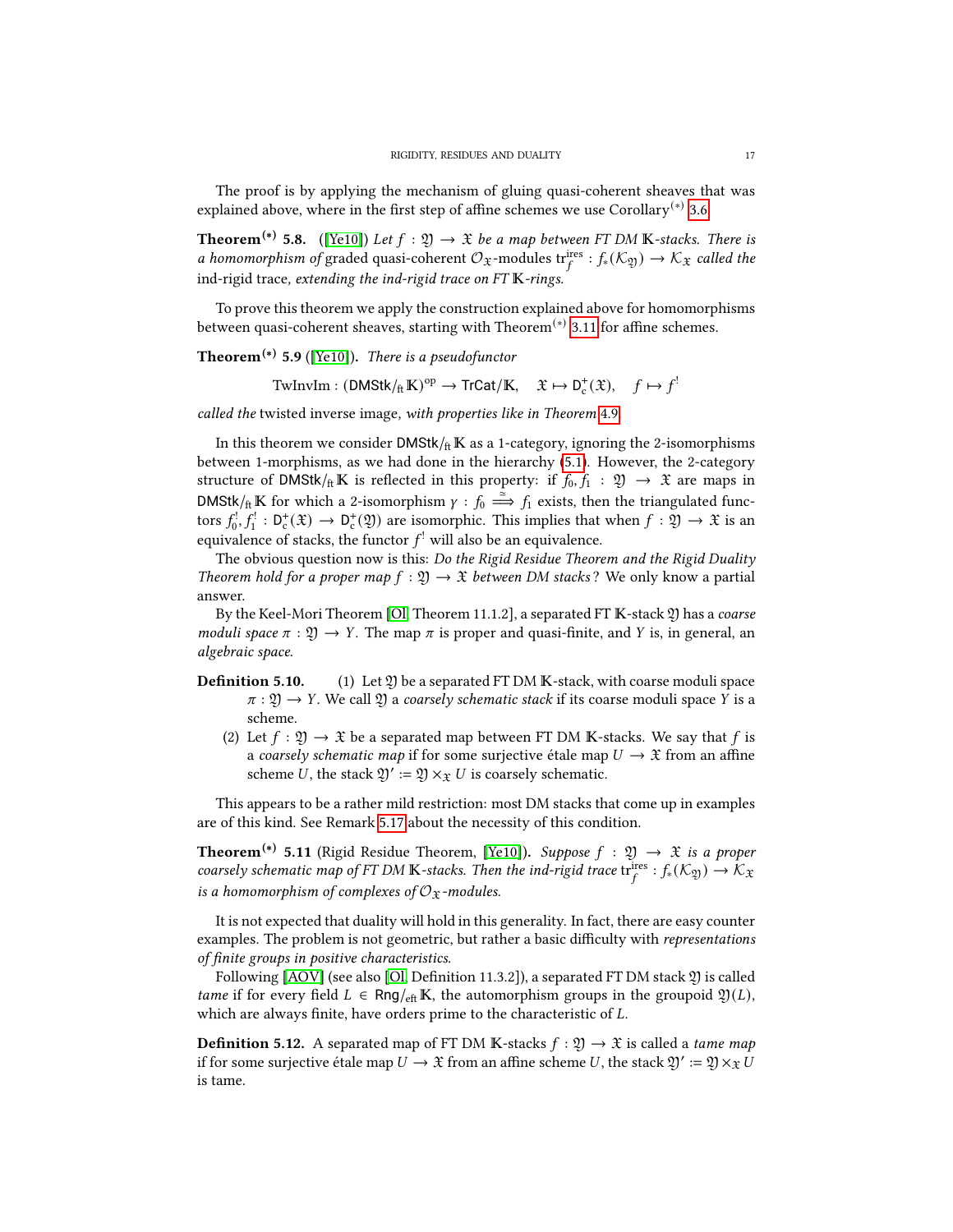The proof is by applying the mechanism of gluing quasi-coherent sheaves that was explained above, where in the first step of affine schemes we use Corollary<sup>(\*)</sup> [3.6.](#page-9-3)

**Theorem<sup>(\*)</sup> 5.8.** ([\[Ye10\]](#page-19-5)) Let  $f : \mathfrak{Y} \to \mathfrak{X}$  be a map between FT DM K-stacks. There is a homomorphism of graded quasi-coherent  $\mathcal{O}_{\mathfrak{X}}$ -modules tri<sup>res</sup> :  $f_*(\mathcal{K}_{\mathfrak{Y}}) \to \mathcal{K}_{\mathfrak{X}}$  called the ind-rigid trace, extending the ind-rigid trace on  $FTK$ -rings.

To prove this theorem we apply the construction explained above for homomorphisms between quasi-coherent sheaves, starting with Theorem<sup>(\*)</sup> [3.11](#page-9-4) for affine schemes.

**Theorem<sup>(\*)</sup>** 5.9 ([\[Ye10\]](#page-19-5)). There is a pseudofunctor

 $\text{TwInvIm}: (\text{DMStk}/_{\text{ft}}\mathbb{K})^{\text{op}} \to \text{TrCat}/\mathbb{K}, \quad \mathfrak{X} \mapsto D_{\text{c}}^+(\mathfrak{X}), \quad f \mapsto f^!$ 

called the twisted inverse image, with properties like in Theorem [4.9](#page-12-2).

In this theorem we consider  $DMStk / _{ft}$  K as a 1-category, ignoring the 2-isomorphisms between 1-morphisms, as we had done in the hierarchy [\(5.1\)](#page-14-0). However, the 2-category structure of DMStk/ $_{\text{ft}}$ K is reflected in this property: if  $f_0, f_1 : \mathfrak{Y} \to \mathfrak{X}$  are maps in DMStk/ $_{ft}$  K for which a 2-isomorphism  $\gamma : f_0 \stackrel{\simeq}{\Longrightarrow} f_1$  exists, then the triangulated functors  $f_0^!, f_1^! : D_c^+(\mathfrak{X}) \to D_c^+(\mathfrak{Y})$  are isomorphic. This implies that when  $f : \mathfrak{Y} \to \mathfrak{X}$  is an equivalence of stacks, the functor  $f^!$  will also be an equivalence.

The obvious question now is this: Do the Rigid Residue Theorem and the Rigid Duality Theorem hold for a proper map  $f : \mathfrak{Y} \to \mathfrak{X}$  between DM stacks? We only know a partial answer.

By the Keel-Mori Theorem [\[Ol,](#page-19-17) Theorem 11.1.2], a separated FT K-stack 2) has a coarse moduli space  $\pi : \mathfrak{Y} \to Y$ . The map  $\pi$  is proper and quasi-finite, and Y is, in general, an algebraic space.

- **Definition 5.10.** (1) Let  $\mathfrak{Y}$  be a separated FT DM K-stack, with coarse moduli space  $\pi : \mathfrak{Y} \to Y$ . We call  $\mathfrak{Y}$  a coarsely schematic stack if its coarse moduli space Y is a scheme.
	- (2) Let  $f : \mathfrak{Y} \to \mathfrak{X}$  be a separated map between FT DM K-stacks. We say that f is a coarsely schematic map if for some surjective étale map  $U \rightarrow \mathfrak{X}$  from an affine scheme U, the stack  $\mathfrak{Y}' := \mathfrak{Y} \times_{\mathfrak{X}} U$  is coarsely schematic.

This appears to be a rather mild restriction: most DM stacks that come up in examples are of this kind. See Remark [5.17](#page-18-7) about the necessity of this condition.

<span id="page-16-0"></span>**Theorem<sup>(\*)</sup>** 5.11 (Rigid Residue Theorem, [\[Ye10\]](#page-19-5)). Suppose  $f : \mathfrak{Y} \rightarrow \mathfrak{X}$  is a proper coarsely schematic map of FT DM K-stacks. Then the ind-rigid trace  $tr_f^{\text{ires}}: f_*(\mathcal{K}_{\mathfrak{Y}}) \to \mathcal{K}_{\mathfrak{X}}$ is a homomorphism of complexes of  $\mathcal{O}_{\mathfrak{X}}$ -modules.

It is not expected that duality will hold in this generality. In fact, there are easy counter examples. The problem is not geometric, but rather a basic difficulty with representations of finite groups in positive characteristics.

Following  $[AOV]$  (see also  $[O, Definition 11.3.2]$ ), a separated FT DM stack 2) is called tame if for every field  $L \in \text{Rng}_{\text{eff}} K$ , the automorphism groups in the groupoid  $\mathfrak{Y}(L)$ , which are always finite, have orders prime to the characteristic of  $L$ .

**Definition 5.12.** A separated map of FT DM K-stacks  $f : \mathfrak{Y} \to \mathfrak{X}$  is called a tame map if for some surjective étale map  $U\to \mathfrak X$  from an affine scheme  $U$ , the stack  $\mathfrak Y':=\mathfrak Y\times_{\mathfrak X} \tilde U$ is tame.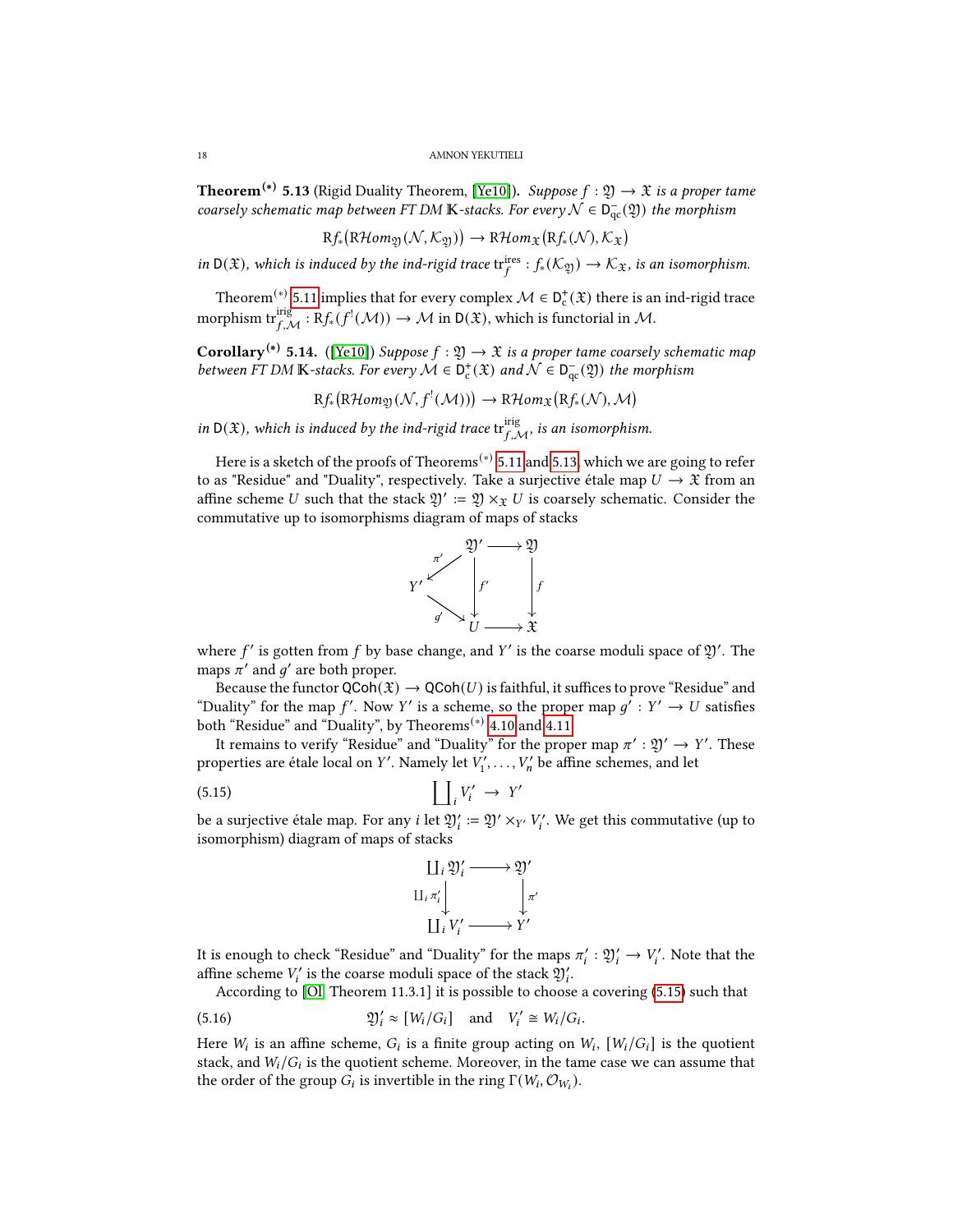<span id="page-17-0"></span>**Theorem<sup>(\*)</sup> 5.13** (Rigid Duality Theorem, [\[Ye10\]](#page-19-5)). Suppose  $f : \mathfrak{Y} \to \mathfrak{X}$  is a proper tame coarsely schematic map between FT DM K-stacks. For every  $\mathcal{N} \in \mathsf{D}^-_{\mathrm{qc}}(\mathfrak{Y})$  the morphism

$$
Rf_{*}(R\mathcal{H}om_{\mathfrak{Y}}(\mathcal{N},\mathcal{K}_{\mathfrak{Y}})) \to R\mathcal{H}om_{\mathfrak{X}}(Rf_{*}(\mathcal{N}),\mathcal{K}_{\mathfrak{X}})
$$

in  $D(\mathfrak{X})$ , which is induced by the ind-rigid trace  $tr_f^{ires}: f_*(\mathcal{K}_{\mathfrak{Y}}) \to \mathcal{K}_{\mathfrak{X}}$ , is an isomorphism.

Theorem<sup>(\*)</sup> [5.11](#page-16-0) implies that for every complex  $\mathcal{M} \in D_c^+(\mathfrak{X})$  there is an ind-rigid trace morphism  $\mathrm{tr}^{\mathrm{irig}}_{f, \mathcal{M}} : \mathrm{R}f_*(f^!(\mathcal{M})) \to \mathcal{M}$  in  $\mathsf{D}(\mathfrak{X}),$  which is functorial in  $\mathcal{M}.$ 

<span id="page-17-2"></span>**Corollary**<sup>(\*)</sup> 5.14. ([\[Ye10\]](#page-19-5)) Suppose  $f : \mathfrak{Y} \to \mathfrak{X}$  is a proper tame coarsely schematic map between FT DM K-stacks. For every  $M \in D_c^+(\mathfrak{X})$  and  $\mathcal{N} \in D_{qc}^-(\mathfrak{Y})$  the morphism

$$
Rf_{*}(R\mathcal{H}om_{\mathfrak{Y}}(\mathcal{N},f^{!}(\mathcal{M}))) \to R\mathcal{H}om_{\mathfrak{X}}(Rf_{*}(\mathcal{N}),\mathcal{M})
$$

in  $D(\mathfrak{X})$ , which is induced by the ind-rigid trace  $\text{tr}^{\text{irig}}_{f,\mathcal{M}}$ , is an isomorphism.

Here is a sketch of the proofs of Theorems<sup>(\*)</sup> [5.11](#page-16-0) and [5.13,](#page-17-0) which we are going to refer to as "Residue" and "Duality", respectively. Take a surjective étale map  $U \to \mathfrak{X}$  from an affine scheme U such that the stack  $\mathfrak{Y}' := \mathfrak{Y} \times_{\mathfrak{X}} U$  is coarsely schematic. Consider the commutative up to isomorphisms diagram of maps of stacks



where  $f'$  is gotten from  $f$  by base change, and  $Y'$  is the coarse moduli space of  $\mathfrak{Y}'$ . The maps  $\pi'$  and  $g'$  are both proper.

Because the functor  $QCoh(\mathfrak{X}) \to QCoh(U)$  is faithful, it suffices to prove "Residue" and "Duality" for the map f'. Now Y' is a scheme, so the proper map  $g' : Y' \to U$  satisfies both "Residue" and "Duality", by Theorems<sup>(\*)</sup> [4.10](#page-12-0) and [4.11.](#page-12-1)

It remains to verify "Residue" and "Duality" for the proper map  $\pi': \mathfrak{Y}' \to Y'$ . These properties are étale local on Y'. Namely let  $V'_1, \ldots, V'_n$  be affine schemes, and let

$$
(5.15) \qquad \qquad \prod_i V'_i \to Y'
$$

be a surjective étale map. For any *i* let  $\mathfrak{Y}'_i = \mathfrak{Y}' \times_{Y'} V'_i$ . We get this commutative (up to isomorphism) diagram of maps of stacks

<span id="page-17-1"></span>

It is enough to check "Residue" and "Duality" for the maps  $\pi'_i : \mathfrak{Y}'_i \to V'_i$ . Note that the affine scheme  $V_i'$  is the coarse moduli space of the stack  $\mathfrak{Y}_i'$ .

According to [\[Ol,](#page-19-17) Theorem 11.3.1] it is possible to choose a covering [\(5.15\)](#page-17-1) such that

(5.16) 
$$
\mathfrak{Y}'_i \approx [W_i/G_i] \quad \text{and} \quad V'_i \cong W_i/G_i.
$$

Here  $W_i$  is an affine scheme,  $G_i$  is a finite group acting on  $W_i$ ,  $[W_i/G_i]$  is the quotient stack, and  $W_i/G_i$  is the quotient scheme. Moreover, in the tame case we can assume that the order of the group  $G_i$  is invertible in the ring  $\Gamma(W_i, \mathcal{O}_{W_i})$ .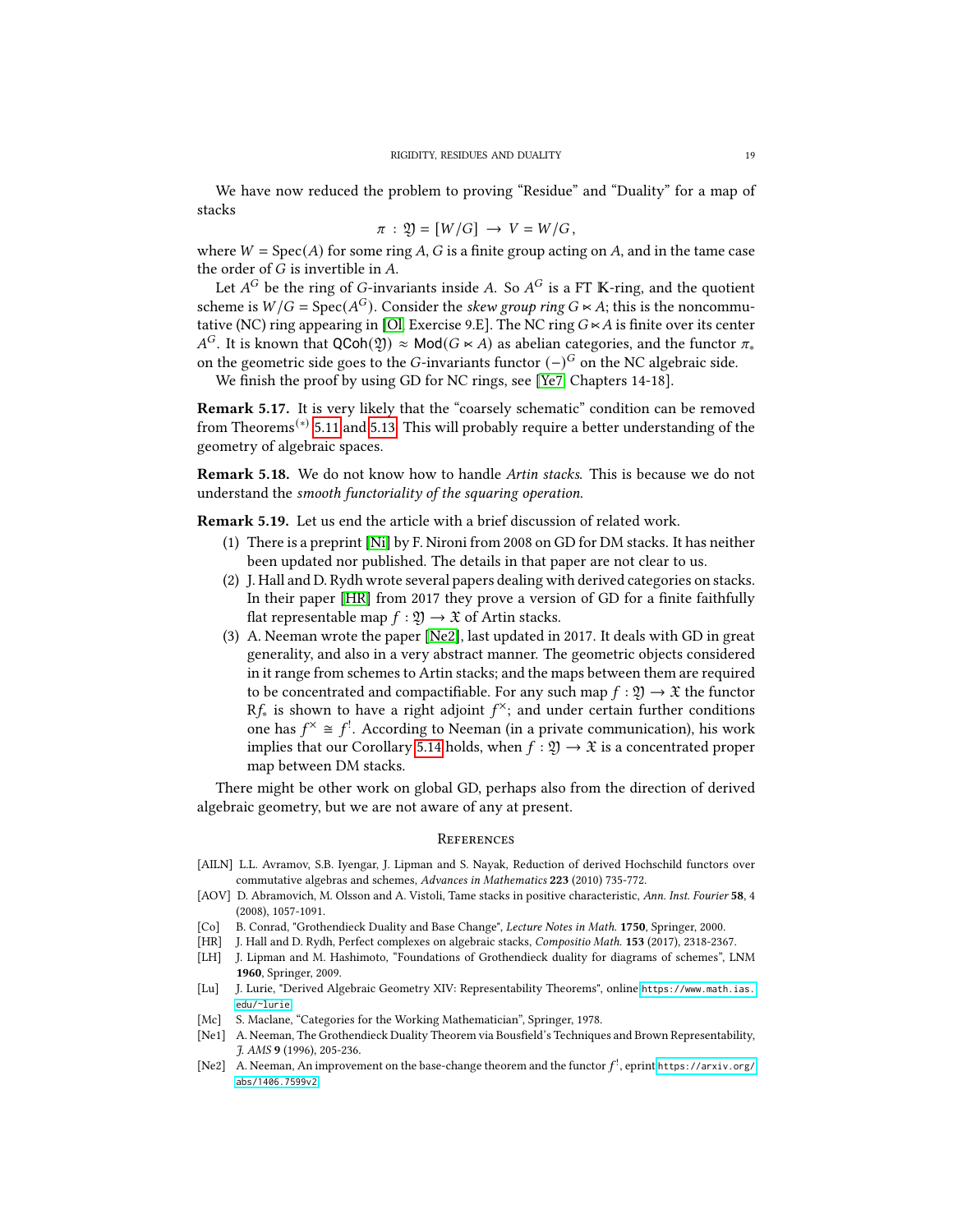We have now reduced the problem to proving "Residue" and "Duality" for a map of stacks

$$
\pi : \mathfrak{Y} = [W/G] \rightarrow V = W/G,
$$

where  $W = Spec(A)$  for some ring A, G is a finite group acting on A, and in the tame case the order of  $G$  is invertible in  $A$ .

Let  $A^G$  be the ring of G-invariants inside A. So  $A^G$  is a FT K-ring, and the quotient scheme is  $W/G = \text{Spec}(A^G)$ . Consider the skew group ring  $G \ltimes A$ ; this is the noncommu-tative (NC) ring appearing in [\[Ol,](#page-19-17) Exercise 9.E]. The NC ring  $G \times A$  is finite over its center  $A^G$ . It is known that QCoh( $\mathfrak{Y}$ ) ≈ Mod( $G \ltimes A$ ) as abelian categories, and the functor  $\pi_*$ on the geometric side goes to the G-invariants functor  $(-)^{G}$  on the NC algebraic side.

We finish the proof by using GD for NC rings, see [\[Ye7,](#page-19-7) Chapters 14-18].

<span id="page-18-7"></span>Remark 5.17. It is very likely that the "coarsely schematic" condition can be removed from Theorems(∗) [5.11](#page-16-0) and [5.13.](#page-17-0) This will probably require a better understanding of the geometry of algebraic spaces.

**Remark 5.18.** We do not know how to handle *Artin stacks*. This is because we do not understand the smooth functoriality of the squaring operation.

Remark 5.19. Let us end the article with a brief discussion of related work.

- (1) There is a preprint [\[Ni\]](#page-19-18) by F. Nironi from 2008 on GD for DM stacks. It has neither been updated nor published. The details in that paper are not clear to us.
- (2) J. Hall and D. Rydh wrote several papers dealing with derived categories on stacks. In their paper [\[HR\]](#page-18-9) from 2017 they prove a version of GD for a finite faithfully flat representable map  $f : \mathfrak{Y} \to \mathfrak{X}$  of Artin stacks.
- (3) A. Neeman wrote the paper [\[Ne2\]](#page-18-6), last updated in 2017. It deals with GD in great generality, and also in a very abstract manner. The geometric objects considered in it range from schemes to Artin stacks; and the maps between them are required to be concentrated and compactifiable. For any such map  $f : \mathfrak{Y} \to \mathfrak{X}$  the functor R $f_*$  is shown to have a right adjoint  $f^\times$ ; and under certain further conditions one has  $f^{\times} \cong f^{!}$ . According to Neeman (in a private communication), his work implies that our Corollary [5.14](#page-17-2) holds, when  $f : \mathfrak{Y} \to \mathfrak{X}$  is a concentrated proper map between DM stacks.

There might be other work on global GD, perhaps also from the direction of derived algebraic geometry, but we are not aware of any at present.

## <span id="page-18-0"></span>**REFERENCES**

- <span id="page-18-2"></span>[AILN] L.L. Avramov, S.B. Iyengar, J. Lipman and S. Nayak, Reduction of derived Hochschild functors over commutative algebras and schemes, Advances in Mathematics 223 (2010) 735-772.
- <span id="page-18-8"></span>[AOV] D. Abramovich, M. Olsson and A. Vistoli, Tame stacks in positive characteristic, Ann. Inst. Fourier 58, 4 (2008), 1057-1091.
- <span id="page-18-3"></span>[Co] B. Conrad, "Grothendieck Duality and Base Change", Lecture Notes in Math. 1750, Springer, 2000.
- <span id="page-18-9"></span>[HR] J. Hall and D. Rydh, Perfect complexes on algebraic stacks, Compositio Math. 153 (2017), 2318-2367.
- <span id="page-18-4"></span>[LH] J. Lipman and M. Hashimoto, "Foundations of Grothendieck duality for diagrams of schemes", LNM 1960, Springer, 2009.
- [Lu] J. Lurie, "Derived Algebraic Geometry XIV: Representability Theorems", online [https://www.math.ias.](https://www.math.ias.edu/~lurie) [edu/~lurie](https://www.math.ias.edu/~lurie).
- <span id="page-18-1"></span>[Mc] S. Maclane, "Categories for the Working Mathematician", Springer, 1978.
- <span id="page-18-5"></span>[Ne1] A. Neeman, The Grothendieck Duality Theorem via Bousfield's Techniques and Brown Representability, J. AMS 9 (1996), 205-236.
- <span id="page-18-6"></span>[Ne2] A. Neeman, An improvement on the base-change theorem and the functor  $f^!$ , eprint [https://arxiv.org/](https://arxiv.org/abs/1406.7599v2) [abs/1406.7599v2](https://arxiv.org/abs/1406.7599v2).